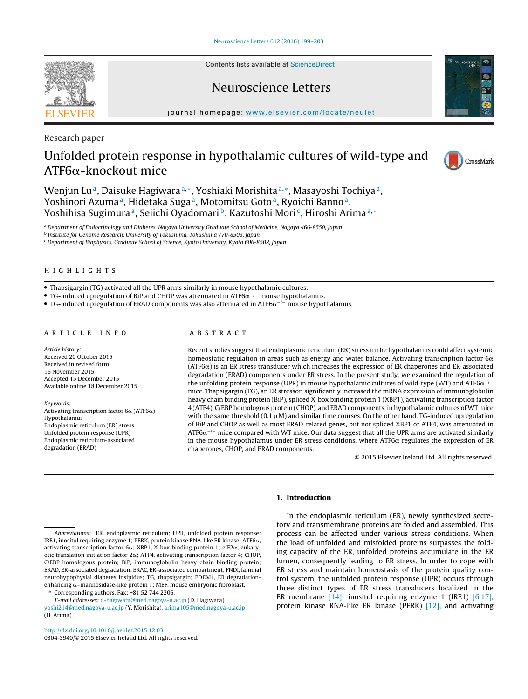Contents lists available at [ScienceDirect](http://www.sciencedirect.com/science/journal/03043940)

## Neuroscience Letters

iournal homepage: [www.elsevier.com/locate/neulet](http://www.elsevier.com/locate/neulet)

Research paper

# Unfolded protein response in hypothalamic cultures of wild-type and ATF6α-knockout mice



Wenjun Lu<sup>a</sup>, Daisuke Hagiwara<sup>a,∗</sup>, Yoshiaki Morishita<sup>a,∗</sup>, Masayoshi Tochiya<sup>a</sup>, Yoshinori Azuma<sup>a</sup>, Hidetaka Suga<sup>a</sup>, Motomitsu Goto<sup>a</sup>, Ryoichi Banno<sup>a</sup>, Yoshihisa Sugimura<sup>a</sup>, Seiichi Oyadomari<sup>b</sup>, Kazutoshi Mori<sup>c</sup>, Hiroshi Arima<sup>a,∗</sup>

<sup>a</sup> Department of Endocrinology and Diabetes, Nagoya University Graduate School of Medicine, Nagoya 466-8550, Japan

<sup>b</sup> Institute for Genome Research, University of Tokushima, Tokushima 770-8503, Japan

<sup>c</sup> Department of Biophysics, Graduate School of Science, Kyoto University, Kyoto 606-8502, Japan

## h i g h l i g h t s

• Thapsigargin (TG) activated all the UPR arms similarly in mouse hypothalamic cultures.

- TG-induced upregulation of BiP and CHOP was attenuated in ATF6 $\alpha^{-/-}$  mouse hypothalamus.
- $\bullet$  TG-induced upregulation of ERAD components was also attenuated in ATF6 $\alpha^{-/-}$  mouse hypothalamus.

#### ARTICLE INFO

Article history: Received 20 October 2015 Received in revised form 16 November 2015 Accepted 15 December 2015 Available online 18 December 2015

Keywords:

Activating transcription factor 6 $\alpha$  (ATF6 $\alpha$ ) Hypothalamus Endoplasmic reticulum (ER) stress Unfolded protein response (UPR) Endoplasmic reticulum-associated degradation (ERAD)

## a b s t r a c t

Recent studies suggest that endoplasmic reticulum (ER) stress in the hypothalamus could affect systemic homeostatic regulation in areas such as energy and water balance. Activating transcription factor 6 $\alpha$ (ATF6 $\alpha$ ) is an ER stress transducer which increases the expression of ER chaperones and ER-associated degradation (ERAD) components under ER stress. In the present study, we examined the regulation of the unfolding protein response (UPR) in mouse hypothalamic cultures of wild-type (WT) and ATF6 $\alpha^{-/-}$ mice. Thapsigargin (TG), an ER stressor, significantly increased the mRNA expression of immunoglobulin heavy chain binding protein (BiP), spliced X-box binding protein 1 (XBP1), activating transcription factor 4 (ATF4), C/EBP homologous protein (CHOP), and ERAD components, in hypothalamic cultures ofWT mice with the same threshold  $(0.1 \mu M)$  and similar time courses. On the other hand, TG-induced upregulation of BiP and CHOP as well as most ERAD-related genes, but not spliced XBP1 or ATF4, was attenuated in ATF6 $\alpha^{-/-}$  mice compared with WT mice. Our data suggest that all the UPR arms are activated similarly in the mouse hypothalamus under ER stress conditions, where ATF6 $\alpha$  regulates the expression of ER chaperones, CHOP, and ERAD components.

© 2015 Elsevier Ireland Ltd. All rights reserved.

[yoshi214@med.nagoya-u.ac.jp](mailto:yoshi214@med.nagoya-u.ac.jp) (Y. Morishita), [arima105@med.nagoya-u.ac.jp](mailto:arima105@med.nagoya-u.ac.jp) (H. Arima).

[http://dx.doi.org/10.1016/j.neulet.2015.12.031](dx.doi.org/10.1016/j.neulet.2015.12.031) 0304-3940/© 2015 Elsevier Ireland Ltd. All rights reserved.

## **1. Introduction**

In the endoplasmic reticulum (ER), newly synthesized secretory and transmembrane proteins are folded and assembled. This process can be affected under various stress conditions. When the load of unfolded and misfolded proteins surpasses the folding capacity of the ER, unfolded proteins accumulate in the ER lumen, consequently leading to ER stress. In order to cope with ER stress and maintain homeostasis of the protein quality control system, the unfolded protein response (UPR) occurs through three distinct types of ER stress transducers localized in the ER membrane [\[14\]:](#page-3-0) inositol requiring enzyme 1 (IRE1) [\[6,17\],](#page-3-0) protein kinase RNA-like ER kinase (PERK) [\[12\],](#page-3-0) and activating



Abbreviations: ER, endoplasmic reticulum; UPR, unfolded protein response; IRE1, inositol requiring enzyme 1; PERK, protein kinase RNA-like ER kinase; ATF6 $\alpha$ , activating transcription factor  $6\alpha$ ; XBP1, X-box binding protein 1; eIF2 $\alpha$ , eukaryotic translation initiation factor  $2\alpha$ ; ATF4, activating transcription factor 4; CHOP, C/EBP homologous protein; BiP, immunoglobulin heavy chain binding protein; ERAD, ER-associated degradation; ERAC, ER-associated compartment; FNDI, familial neurohypophysial diabetes insipidus; TG, thapsigargin; EDEM1, ER degradationenhancing  $\alpha$ –mannosidase-like protein 1; MEF, mouse embryonic fibroblast. Corresponding authors. Fax: +81 52 744 2206.

E-mail addresses: [d-hagiwara@med.nagoya-u.ac.jp](mailto:d-hagiwara@med.nagoya-u.ac.jp) (D. Hagiwara),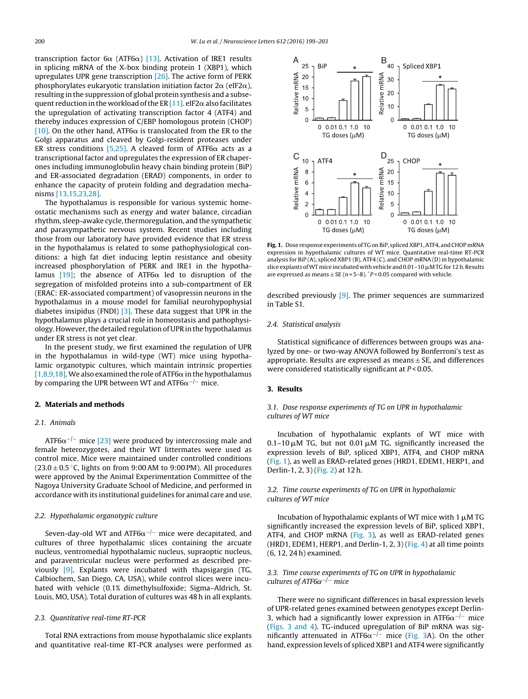transcription factor 6 $\alpha$  (ATF6 $\alpha$ ) [\[13\].](#page-3-0) Activation of IRE1 results in splicing mRNA of the X-box binding protein 1 (XBP1), which upregulates UPR gene transcription [\[26\].](#page-4-0) The active form of PERK phosphorylates eukaryotic translation initiation factor 2 $\alpha$  (eIF2 $\alpha$ ), resulting in the suppression of global protein synthesis and a subse-quent reduction in the workload of the ER [\[11\].](#page-3-0) eIF2 $\alpha$  also facilitates the upregulation of activating transcription factor 4 (ATF4) and thereby induces expression of C/EBP homologous protein (CHOP) [\[10\].](#page-3-0) On the other hand, ATF6 $\alpha$  is translocated from the ER to the Golgi apparatus and cleaved by Golgi-resident proteases under ER stress conditions [\[5,25\].](#page-3-0) A cleaved form of ATF6 $\alpha$  acts as a transcriptional factor and upregulates the expression of ER chaperones including immunoglobulin heavy chain binding protein (BiP) and ER-associated degradation (ERAD) components, in order to enhance the capacity of protein folding and degradation mechanisms [\[13,15,23,28\].](#page-3-0)

The hypothalamus is responsible for various systemic homeostatic mechanisms such as energy and water balance, circadian rhythm, sleep-awake cycle, thermoregulation, and the sympathetic and parasympathetic nervous system. Recent studies including those from our laboratory have provided evidence that ER stress in the hypothalamus is related to some pathophysiological conditions: a high fat diet inducing leptin resistance and obesity increased phosphorylation of PERK and IRE1 in the hypotha-lamus [\[19\];](#page-3-0) the absence of ATF6 $\alpha$  led to disruption of the segregation of misfolded proteins into a sub-compartment of ER (ERAC: ER-associated compartment) of vasopressin neurons in the hypothalamus in a mouse model for familial neurohypophysial diabetes insipidus (FNDI) [\[3\].](#page-3-0) These data suggest that UPR in the hypothalamus plays a crucial role in homeostasis and pathophysiology. However, the detailed regulation of UPR in the hypothalamus under ER stress is not yet clear.

In the present study, we first examined the regulation of UPR in the hypothalamus in wild-type (WT) mice using hypothalamic organotypic cultures, which maintain intrinsic properties [1,8,9,18]. We also examined the role of ATF6 $\alpha$  in the hypothalamus by comparing the UPR between WT and ATF6 $\alpha^{-/-}$  mice.

## **2. Materials and methods**

#### 2.1. Animals

ATF6 $\alpha^{-/-}$  mice [\[23\]](#page-3-0) were produced by intercrossing male and female heterozygotes, and their WT littermates were used as control mice. Mice were maintained under controlled conditions (23.0  $\pm$  0.5 °C, lights on from 9:00 AM to 9:00 PM). All procedures were approved by the Animal Experimentation Committee of the Nagoya University Graduate School of Medicine, and performed in accordance with its institutional guidelines for animal care and use.

## 2.2. Hypothalamic organotypic culture

Seven-day-old WT and ATF6 $\alpha$ <sup>-/-</sup> mice were decapitated, and cultures of three hypothalamic slices containing the arcuate nucleus, ventromedial hypothalamic nucleus, supraoptic nucleus, and paraventricular nucleus were performed as described previously [\[9\].](#page-3-0) Explants were incubated with thapsigargin (TG, Calbiochem, San Diego, CA, USA), while control slices were incubated with vehicle (0.1% dimethylsulfoxide; Sigma–Aldrich, St. Louis, MO, USA). Total duration of cultures was 48 h in all explants.

#### 2.3. Quantitative real-time RT-PCR

Total RNA extractions from mouse hypothalamic slice explants and quantitative real-time RT-PCR analyses were performed as



Fig. 1. Dose response experiments of TG on BiP, spliced XBP1, ATF4, and CHOP mRNA expression in hypothalamic cultures of WT mice. Quantitative real-time RT-PCR analysis for BiP (A), spliced XBP1 (B), ATF4 (C), and CHOP mRNA (D) in hypothalamic slice explants of WT mice incubated with vehicle and  $0.01$  – 10  $\mu$ M TG for 12 h. Results are expressed as means  $\pm$  SE (n = 5–8).  $P$  < 0.05 compared with vehicle.

described previously  $[9]$ . The primer sequences are summarized in Table S1.

#### 2.4. Statistical analysis

Statistical significance of differences between groups was analyzed by one- or two-way ANOVA followed by Bonferroni's test as appropriate. Results are expressed as means  $\pm$  SE, and differences were considered statistically significant at  $P < 0.05$ .

#### **3. Results**

3.1. Dose response experiments of TG on UPR in hypothalamic cultures of WT mice

Incubation of hypothalamic explants of WT mice with  $0.1-10 \mu$ M TG, but not  $0.01 \mu$ M TG, significantly increased the expression levels of BiP, spliced XBP1, ATF4, and CHOP mRNA (Fig. 1), as well as ERAD-related genes (HRD1, EDEM1, HERP1, and Derlin-1, 2, 3) [\(Fig.](#page-2-0) 2) at 12 h.

#### 3.2. Time course experiments of TG on UPR in hypothalamic cultures of WT mice

Incubation of hypothalamic explants of WT mice with 1  $\mu$ M TG significantly increased the expression levels of BiP, spliced XBP1, ATF4, and CHOP mRNA [\(Fig.](#page-2-0) 3), as well as ERAD-related genes (HRD1, EDEM1, HERP1, and Derlin-1, 2, 3) [\(Fig.](#page-2-0) 4) at all time points (6, 12, 24 h) examined.

#### 3.3. Time course experiments of TG on UPR in hypothalamic cultures of ATF6 $\alpha$ <sup>−/−</sup> mice

There were no significant differences in basal expression levels of UPR-related genes examined between genotypes except Derlin-3, which had a significantly lower expression in ATF6 $\alpha^{-/-}$  mice [\(Figs.](#page-2-0) 3 and 4). TG-induced upregulation of BiP mRNA was significantly attenuated in ATF6 $\alpha^{-/-}$  mice ([Fig.](#page-2-0) 3A). On the other hand, expression levels of spliced XBP1 and ATF4 were significantly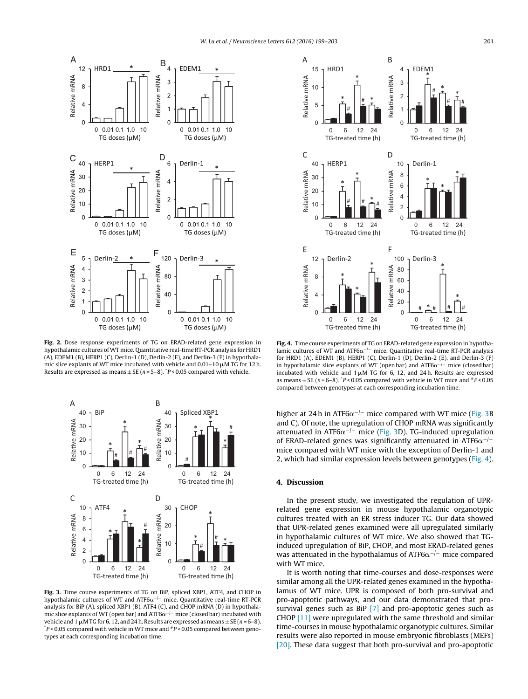<span id="page-2-0"></span>

**Fig. 2.** Dose response experiments of TG on ERAD-related gene expression in hypothalamic cultures of WT mice. Quantitative real-time RT-PCR analysis for HRD1 (A), EDEM1 (B), HERP1 (C), Derlin-1 (D), Derlin-2 (E), and Derlin-3 (F) in hypothalamic slice explants of WT mice incubated with vehicle and  $0.01-10 \mu$ M TG for 12 h. Results are expressed as means  $\pm$  SE (n = 5–8).  $P$  < 0.05 compared with vehicle.



**Fig. 3.** Time course experiments of TG on BiP, spliced XBP1, ATF4, and CHOP in hypothalamic cultures of WT and ATF6 $\alpha^{-/-}$  mice. Quantitative real-time RT-PCR analysis for BiP (A), spliced XBP1 (B), ATF4 (C), and CHOP mRNA (D) in hypothalamic slice explants of WT (open bar) and ATF6 $\alpha^{-/-}$  mice (closed bar) incubated with vehicle and 1  $\mu$ MTG for 6, 12, and 24 h. Results are expressed as means  $\pm$  SE (*n* = 6–8). <sup>\*</sup>*P* < 0.05 compared between genotypes at each corresponding incubation time.



**Fig. 4.** Time course experiments of TG on ERAD-related gene expression in hypothalamic cultures of WT and ATF6 $\alpha$ <sup>-/-</sup> mice. Quantitative real-time RT-PCR analysis for HRD1 (A), EDEM1 (B), HERP1 (C), Derlin-1 (D), Derlin-2 (E), and Derlin-3 (F) in hypothalamic slice explants of WT (open bar) and  $ATF6\alpha^{-/-}$  mice (closed bar) incubated with vehicle and  $1 \mu M$  TG for 6, 12, and 24h. Results are expressed as means  $\pm$  SE (n = 6–8).  $\degree$ P < 0.05 compared with vehicle in WT mice and  $\degree$ P < 0.05 compared between genotypes at each corresponding incubation time.

higher at 24 h in ATF6 $\alpha$ <sup>-/-</sup> mice compared with WT mice (Fig. 3B) and C). Of note, the upregulation of CHOP mRNA was significantly attenuated in ATF6 $\alpha$ <sup>-/-</sup> mice (Fig. 3D). TG-induced upregulation of ERAD-related genes was significantly attenuated in ATF6 $\alpha$ <sup>-/-</sup> mice compared with WT mice with the exception of Derlin-1 and 2, which had similar expression levels between genotypes (Fig. 4).

## **4. Discussion**

In the present study, we investigated the regulation of UPRrelated gene expression in mouse hypothalamic organotypic cultures treated with an ER stress inducer TG. Our data showed that UPR-related genes examined were all upregulated similarly in hypothalamic cultures of WT mice. We also showed that TGinduced upregulation of BiP, CHOP, and most ERAD-related genes was attenuated in the hypothalamus of ATF6 $\alpha$ <sup>-/-</sup> mice compared with WT mice.

It is worth noting that time-courses and dose-responses were similar among all the UPR-related genes examined in the hypothalamus of WT mice. UPR is composed of both pro-survival and pro-apoptotic pathways, and our data demonstrated that pro-survival genes such as BiP [\[7\]](#page-3-0) and pro-apoptotic genes such as CHOP [\[11\]](#page-3-0) were upregulated with the same threshold and similar time-courses in mouse hypothalamic organotypic cultures. Similar results were also reported in mouse embryonic fibroblasts (MEFs) [\[20\].](#page-3-0) These data suggest that both pro-survival and pro-apoptotic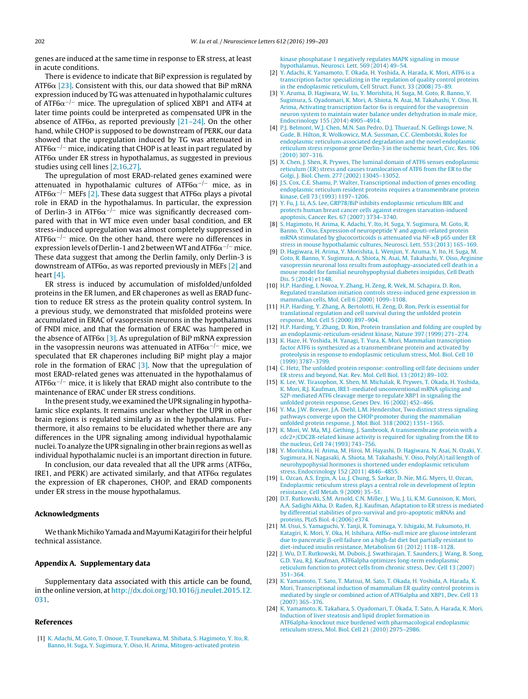<span id="page-3-0"></span>genes are induced at the same time in response to ER stress, at least in acute conditions.

There is evidence to indicate that BiP expression is regulated by ATF6 $\alpha$  [23]. Consistent with this, our data showed that BiP mRNA expression induced by TG was attenuated in hypothalamic cultures of ATF6 $\alpha^{-/-}$  mice. The upregulation of spliced XBP1 and ATF4 at later time points could be interpreted as compensated UPR in the absence of ATF6 $\alpha$ , as reported previously [21–24]. On the other hand, while CHOP is supposed to be downstream of PERK, our data showed that the upregulation induced by TG was attenuated in ATF6 $\alpha^{-/-}$  mice, indicating that CHOP is at least in part regulated by  ${\sf ATF6}\alpha$  under ER stress in hypothalamus, as suggested in previous studies using cell lines [2,16,27].

The upregulation of most ERAD-related genes examined were attenuated in hypothalamic cultures of ATF6 $\alpha^{-/-}$  mice, as in ATF6 $\alpha^{-/-}$  MEFs [2]. These data suggest that ATF6 $\alpha$  plays a pivotal role in ERAD in the hypothalamus. In particular, the expression of Derlin-3 in ATF6 $\alpha^{-/-}$  mice was significantly decreased compared with that in WT mice even under basal condition, and ER stress-induced upregulation was almost completely suppressed in ATF6 $\alpha^{-/-}$  mice. On the other hand, there were no differences in expression levels of Derlin-1 and 2 between WT and ATF6 $\alpha^{-/-}$  mice. These data suggest that among the Derlin family, only Derlin-3 is downstream of ATF6 $\alpha$ , as was reported previously in MEFs [2] and heart [4].

ER stress is induced by accumulation of misfolded/unfolded proteins in the ER lumen, and ER chaperones as well as ERAD function to reduce ER stress as the protein quality control system. In a previous study, we demonstrated that misfolded proteins were accumulated in ERAC of vasopressin neurons in the hypothalamus of FNDI mice, and that the formation of ERAC was hampered in the absence of ATF6 $\alpha$  [3]. As upregulation of BiP mRNA expression in the vasopressin neurons was attenuated in ATF6 $\alpha^{-/-}$  mice, we speculated that ER chaperones including BiP might play a major role in the formation of ERAC [3]. Now that the upregulation of most ERAD-related genes was attenuated in the hypothalamus of ATF6 $\alpha^{-/-}$  mice, it is likely that ERAD might also contribute to the maintenance of ERAC under ER stress conditions.

In the present study, we examined the UPR signaling in hypothalamic slice explants. It remains unclear whether the UPR in other brain regions is regulated similarly as in the hypothalamus. Furthermore, it also remains to be elucidated whether there are any differences in the UPR signaling among individual hypothalamic nuclei. To analyze the UPR signaling in other brain regions as well as individual hypothalamic nuclei is an important direction in future.

In conclusion, our data revealed that all the UPR arms (ATF6 $\alpha$ , IRE1, and PERK) are activated similarly, and that ATF6 $\alpha$  regulates the expression of ER chaperones, CHOP, and ERAD components under ER stress in the mouse hypothalamus.

#### **Acknowledgments**

We thank Michiko Yamada and Mayumi Katagiri for their helpful technical assistance.

#### **Appendix A. Supplementary data**

Supplementary data associated with this article can be found, in the online version, at [http://dx.doi.org/10.1016/j.neulet.2015.12.](http://dx.doi.org/10.1016/j.neulet.2015.12.031) [031](http://dx.doi.org/10.1016/j.neulet.2015.12.031).

#### **References**

[1] [K.](http://refhub.elsevier.com/S0304-3940(15)30322-0/sbref0005) [Adachi,](http://refhub.elsevier.com/S0304-3940(15)30322-0/sbref0005) [M.](http://refhub.elsevier.com/S0304-3940(15)30322-0/sbref0005) [Goto,](http://refhub.elsevier.com/S0304-3940(15)30322-0/sbref0005) [T.](http://refhub.elsevier.com/S0304-3940(15)30322-0/sbref0005) [Onoue,](http://refhub.elsevier.com/S0304-3940(15)30322-0/sbref0005) [T.](http://refhub.elsevier.com/S0304-3940(15)30322-0/sbref0005) [Tsunekawa,](http://refhub.elsevier.com/S0304-3940(15)30322-0/sbref0005) [M.](http://refhub.elsevier.com/S0304-3940(15)30322-0/sbref0005) [Shibata,](http://refhub.elsevier.com/S0304-3940(15)30322-0/sbref0005) [S.](http://refhub.elsevier.com/S0304-3940(15)30322-0/sbref0005) [Hagimoto,](http://refhub.elsevier.com/S0304-3940(15)30322-0/sbref0005) [Y.](http://refhub.elsevier.com/S0304-3940(15)30322-0/sbref0005) [Ito,](http://refhub.elsevier.com/S0304-3940(15)30322-0/sbref0005) [R.](http://refhub.elsevier.com/S0304-3940(15)30322-0/sbref0005) [Banno,](http://refhub.elsevier.com/S0304-3940(15)30322-0/sbref0005) [H.](http://refhub.elsevier.com/S0304-3940(15)30322-0/sbref0005) [Suga,](http://refhub.elsevier.com/S0304-3940(15)30322-0/sbref0005) [Y.](http://refhub.elsevier.com/S0304-3940(15)30322-0/sbref0005) [Sugimura,](http://refhub.elsevier.com/S0304-3940(15)30322-0/sbref0005) [Y.](http://refhub.elsevier.com/S0304-3940(15)30322-0/sbref0005) [Oiso,](http://refhub.elsevier.com/S0304-3940(15)30322-0/sbref0005) [H.](http://refhub.elsevier.com/S0304-3940(15)30322-0/sbref0005) [Arima,](http://refhub.elsevier.com/S0304-3940(15)30322-0/sbref0005) [Mitogen-activated](http://refhub.elsevier.com/S0304-3940(15)30322-0/sbref0005) [protein](http://refhub.elsevier.com/S0304-3940(15)30322-0/sbref0005)

[kinase](http://refhub.elsevier.com/S0304-3940(15)30322-0/sbref0005) [phosphatase](http://refhub.elsevier.com/S0304-3940(15)30322-0/sbref0005) [1](http://refhub.elsevier.com/S0304-3940(15)30322-0/sbref0005) [negatively](http://refhub.elsevier.com/S0304-3940(15)30322-0/sbref0005) [regulates](http://refhub.elsevier.com/S0304-3940(15)30322-0/sbref0005) [MAPK](http://refhub.elsevier.com/S0304-3940(15)30322-0/sbref0005) [signaling](http://refhub.elsevier.com/S0304-3940(15)30322-0/sbref0005) [in](http://refhub.elsevier.com/S0304-3940(15)30322-0/sbref0005) [mouse](http://refhub.elsevier.com/S0304-3940(15)30322-0/sbref0005) [hypothalamus,](http://refhub.elsevier.com/S0304-3940(15)30322-0/sbref0005) [Neurosci.](http://refhub.elsevier.com/S0304-3940(15)30322-0/sbref0005) [Lett.](http://refhub.elsevier.com/S0304-3940(15)30322-0/sbref0005) [569](http://refhub.elsevier.com/S0304-3940(15)30322-0/sbref0005) [\(2014\)](http://refhub.elsevier.com/S0304-3940(15)30322-0/sbref0005) [49](http://refhub.elsevier.com/S0304-3940(15)30322-0/sbref0005)–[54.](http://refhub.elsevier.com/S0304-3940(15)30322-0/sbref0005)

- [2] [Y.](http://refhub.elsevier.com/S0304-3940(15)30322-0/sbref0010) [Adachi,](http://refhub.elsevier.com/S0304-3940(15)30322-0/sbref0010) [K.](http://refhub.elsevier.com/S0304-3940(15)30322-0/sbref0010) [Yamamoto,](http://refhub.elsevier.com/S0304-3940(15)30322-0/sbref0010) [T.](http://refhub.elsevier.com/S0304-3940(15)30322-0/sbref0010) [Okada,](http://refhub.elsevier.com/S0304-3940(15)30322-0/sbref0010) [H.](http://refhub.elsevier.com/S0304-3940(15)30322-0/sbref0010) [Yoshida,](http://refhub.elsevier.com/S0304-3940(15)30322-0/sbref0010) [A.](http://refhub.elsevier.com/S0304-3940(15)30322-0/sbref0010) [Harada,](http://refhub.elsevier.com/S0304-3940(15)30322-0/sbref0010) [K.](http://refhub.elsevier.com/S0304-3940(15)30322-0/sbref0010) [Mori,](http://refhub.elsevier.com/S0304-3940(15)30322-0/sbref0010) [ATF6](http://refhub.elsevier.com/S0304-3940(15)30322-0/sbref0010) [is](http://refhub.elsevier.com/S0304-3940(15)30322-0/sbref0010) [a](http://refhub.elsevier.com/S0304-3940(15)30322-0/sbref0010) [transcription](http://refhub.elsevier.com/S0304-3940(15)30322-0/sbref0010) [factor](http://refhub.elsevier.com/S0304-3940(15)30322-0/sbref0010) [specializing](http://refhub.elsevier.com/S0304-3940(15)30322-0/sbref0010) [in](http://refhub.elsevier.com/S0304-3940(15)30322-0/sbref0010) [the](http://refhub.elsevier.com/S0304-3940(15)30322-0/sbref0010) [regulation](http://refhub.elsevier.com/S0304-3940(15)30322-0/sbref0010) [of](http://refhub.elsevier.com/S0304-3940(15)30322-0/sbref0010) [quality](http://refhub.elsevier.com/S0304-3940(15)30322-0/sbref0010) [control](http://refhub.elsevier.com/S0304-3940(15)30322-0/sbref0010) [proteins](http://refhub.elsevier.com/S0304-3940(15)30322-0/sbref0010) [in](http://refhub.elsevier.com/S0304-3940(15)30322-0/sbref0010) [the](http://refhub.elsevier.com/S0304-3940(15)30322-0/sbref0010) [endoplasmic](http://refhub.elsevier.com/S0304-3940(15)30322-0/sbref0010) [reticulum,](http://refhub.elsevier.com/S0304-3940(15)30322-0/sbref0010) [Cell](http://refhub.elsevier.com/S0304-3940(15)30322-0/sbref0010) [Struct.](http://refhub.elsevier.com/S0304-3940(15)30322-0/sbref0010) [Funct.](http://refhub.elsevier.com/S0304-3940(15)30322-0/sbref0010) [33](http://refhub.elsevier.com/S0304-3940(15)30322-0/sbref0010) [\(2008\)](http://refhub.elsevier.com/S0304-3940(15)30322-0/sbref0010) [75–89.](http://refhub.elsevier.com/S0304-3940(15)30322-0/sbref0010)
- [3] [Y.](http://refhub.elsevier.com/S0304-3940(15)30322-0/sbref0015) [Azuma,](http://refhub.elsevier.com/S0304-3940(15)30322-0/sbref0015) [D.](http://refhub.elsevier.com/S0304-3940(15)30322-0/sbref0015) [Hagiwara,](http://refhub.elsevier.com/S0304-3940(15)30322-0/sbref0015) [W.](http://refhub.elsevier.com/S0304-3940(15)30322-0/sbref0015) [Lu,](http://refhub.elsevier.com/S0304-3940(15)30322-0/sbref0015) [Y.](http://refhub.elsevier.com/S0304-3940(15)30322-0/sbref0015) [Morishita,](http://refhub.elsevier.com/S0304-3940(15)30322-0/sbref0015) [H.](http://refhub.elsevier.com/S0304-3940(15)30322-0/sbref0015) [Suga,](http://refhub.elsevier.com/S0304-3940(15)30322-0/sbref0015) [M.](http://refhub.elsevier.com/S0304-3940(15)30322-0/sbref0015) [Goto,](http://refhub.elsevier.com/S0304-3940(15)30322-0/sbref0015) [R.](http://refhub.elsevier.com/S0304-3940(15)30322-0/sbref0015) [Banno,](http://refhub.elsevier.com/S0304-3940(15)30322-0/sbref0015) [Y.](http://refhub.elsevier.com/S0304-3940(15)30322-0/sbref0015) [Sugimura,](http://refhub.elsevier.com/S0304-3940(15)30322-0/sbref0015) [S.](http://refhub.elsevier.com/S0304-3940(15)30322-0/sbref0015) [Oyadomari,](http://refhub.elsevier.com/S0304-3940(15)30322-0/sbref0015) [K.](http://refhub.elsevier.com/S0304-3940(15)30322-0/sbref0015) [Mori,](http://refhub.elsevier.com/S0304-3940(15)30322-0/sbref0015) [A.](http://refhub.elsevier.com/S0304-3940(15)30322-0/sbref0015) [Shiota,](http://refhub.elsevier.com/S0304-3940(15)30322-0/sbref0015) [N.](http://refhub.elsevier.com/S0304-3940(15)30322-0/sbref0015) [Asai,](http://refhub.elsevier.com/S0304-3940(15)30322-0/sbref0015) [M.](http://refhub.elsevier.com/S0304-3940(15)30322-0/sbref0015) [Takahashi,](http://refhub.elsevier.com/S0304-3940(15)30322-0/sbref0015) [Y.](http://refhub.elsevier.com/S0304-3940(15)30322-0/sbref0015) [Oiso,](http://refhub.elsevier.com/S0304-3940(15)30322-0/sbref0015) [H.](http://refhub.elsevier.com/S0304-3940(15)30322-0/sbref0015) [Arima,](http://refhub.elsevier.com/S0304-3940(15)30322-0/sbref0015) [Activating](http://refhub.elsevier.com/S0304-3940(15)30322-0/sbref0015) [transcription](http://refhub.elsevier.com/S0304-3940(15)30322-0/sbref0015) [factor](http://refhub.elsevier.com/S0304-3940(15)30322-0/sbref0015) [6](http://refhub.elsevier.com/S0304-3940(15)30322-0/sbref0015) $\alpha$  [is](http://refhub.elsevier.com/S0304-3940(15)30322-0/sbref0015) [required](http://refhub.elsevier.com/S0304-3940(15)30322-0/sbref0015) [for](http://refhub.elsevier.com/S0304-3940(15)30322-0/sbref0015) [the](http://refhub.elsevier.com/S0304-3940(15)30322-0/sbref0015) [vasopressin](http://refhub.elsevier.com/S0304-3940(15)30322-0/sbref0015) [neuron](http://refhub.elsevier.com/S0304-3940(15)30322-0/sbref0015) [system](http://refhub.elsevier.com/S0304-3940(15)30322-0/sbref0015) [to](http://refhub.elsevier.com/S0304-3940(15)30322-0/sbref0015) [maintain](http://refhub.elsevier.com/S0304-3940(15)30322-0/sbref0015) [water](http://refhub.elsevier.com/S0304-3940(15)30322-0/sbref0015) [balance](http://refhub.elsevier.com/S0304-3940(15)30322-0/sbref0015) [under](http://refhub.elsevier.com/S0304-3940(15)30322-0/sbref0015) [dehydration](http://refhub.elsevier.com/S0304-3940(15)30322-0/sbref0015) [in](http://refhub.elsevier.com/S0304-3940(15)30322-0/sbref0015) [male](http://refhub.elsevier.com/S0304-3940(15)30322-0/sbref0015) [mice,](http://refhub.elsevier.com/S0304-3940(15)30322-0/sbref0015) [Endocrinology](http://refhub.elsevier.com/S0304-3940(15)30322-0/sbref0015) [155](http://refhub.elsevier.com/S0304-3940(15)30322-0/sbref0015) [\(2014\)](http://refhub.elsevier.com/S0304-3940(15)30322-0/sbref0015) [4905](http://refhub.elsevier.com/S0304-3940(15)30322-0/sbref0015)–[4914.](http://refhub.elsevier.com/S0304-3940(15)30322-0/sbref0015)
- [4] [P.J.](http://refhub.elsevier.com/S0304-3940(15)30322-0/sbref0020) [Belmont,](http://refhub.elsevier.com/S0304-3940(15)30322-0/sbref0020) [W.J.](http://refhub.elsevier.com/S0304-3940(15)30322-0/sbref0020) [Chen,](http://refhub.elsevier.com/S0304-3940(15)30322-0/sbref0020) [M.N.](http://refhub.elsevier.com/S0304-3940(15)30322-0/sbref0020) [San](http://refhub.elsevier.com/S0304-3940(15)30322-0/sbref0020) [Pedro,](http://refhub.elsevier.com/S0304-3940(15)30322-0/sbref0020) [D.J.](http://refhub.elsevier.com/S0304-3940(15)30322-0/sbref0020) [Thuerauf,](http://refhub.elsevier.com/S0304-3940(15)30322-0/sbref0020) [N.](http://refhub.elsevier.com/S0304-3940(15)30322-0/sbref0020) [Gellings](http://refhub.elsevier.com/S0304-3940(15)30322-0/sbref0020) [Lowe,](http://refhub.elsevier.com/S0304-3940(15)30322-0/sbref0020) [N.](http://refhub.elsevier.com/S0304-3940(15)30322-0/sbref0020) [Gude,](http://refhub.elsevier.com/S0304-3940(15)30322-0/sbref0020) [B.](http://refhub.elsevier.com/S0304-3940(15)30322-0/sbref0020) [Hilton,](http://refhub.elsevier.com/S0304-3940(15)30322-0/sbref0020) [R.](http://refhub.elsevier.com/S0304-3940(15)30322-0/sbref0020) [Wolkowicz,](http://refhub.elsevier.com/S0304-3940(15)30322-0/sbref0020) [M.A.](http://refhub.elsevier.com/S0304-3940(15)30322-0/sbref0020) [Sussman,](http://refhub.elsevier.com/S0304-3940(15)30322-0/sbref0020) [C.C.](http://refhub.elsevier.com/S0304-3940(15)30322-0/sbref0020) [Glembotski,](http://refhub.elsevier.com/S0304-3940(15)30322-0/sbref0020) [Roles](http://refhub.elsevier.com/S0304-3940(15)30322-0/sbref0020) [for](http://refhub.elsevier.com/S0304-3940(15)30322-0/sbref0020) [endoplasmic](http://refhub.elsevier.com/S0304-3940(15)30322-0/sbref0020) [reticulum-associated](http://refhub.elsevier.com/S0304-3940(15)30322-0/sbref0020) [degradation](http://refhub.elsevier.com/S0304-3940(15)30322-0/sbref0020) [and](http://refhub.elsevier.com/S0304-3940(15)30322-0/sbref0020) [the](http://refhub.elsevier.com/S0304-3940(15)30322-0/sbref0020) [novel](http://refhub.elsevier.com/S0304-3940(15)30322-0/sbref0020) [endoplasmic](http://refhub.elsevier.com/S0304-3940(15)30322-0/sbref0020) [reticulum](http://refhub.elsevier.com/S0304-3940(15)30322-0/sbref0020) [stress](http://refhub.elsevier.com/S0304-3940(15)30322-0/sbref0020) [response](http://refhub.elsevier.com/S0304-3940(15)30322-0/sbref0020) [gene](http://refhub.elsevier.com/S0304-3940(15)30322-0/sbref0020) [Derlin-3](http://refhub.elsevier.com/S0304-3940(15)30322-0/sbref0020) [in](http://refhub.elsevier.com/S0304-3940(15)30322-0/sbref0020) [the](http://refhub.elsevier.com/S0304-3940(15)30322-0/sbref0020) [ischemic](http://refhub.elsevier.com/S0304-3940(15)30322-0/sbref0020) [heart,](http://refhub.elsevier.com/S0304-3940(15)30322-0/sbref0020) [Circ.](http://refhub.elsevier.com/S0304-3940(15)30322-0/sbref0020) [Res.](http://refhub.elsevier.com/S0304-3940(15)30322-0/sbref0020) [106](http://refhub.elsevier.com/S0304-3940(15)30322-0/sbref0020) [\(2010\)](http://refhub.elsevier.com/S0304-3940(15)30322-0/sbref0020) [307–316.](http://refhub.elsevier.com/S0304-3940(15)30322-0/sbref0020)
- [5] [X.](http://refhub.elsevier.com/S0304-3940(15)30322-0/sbref0025) [Chen,](http://refhub.elsevier.com/S0304-3940(15)30322-0/sbref0025) [J.](http://refhub.elsevier.com/S0304-3940(15)30322-0/sbref0025) [Shen,](http://refhub.elsevier.com/S0304-3940(15)30322-0/sbref0025) [R.](http://refhub.elsevier.com/S0304-3940(15)30322-0/sbref0025) [Prywes,](http://refhub.elsevier.com/S0304-3940(15)30322-0/sbref0025) [The](http://refhub.elsevier.com/S0304-3940(15)30322-0/sbref0025) [luminal](http://refhub.elsevier.com/S0304-3940(15)30322-0/sbref0025) [domain](http://refhub.elsevier.com/S0304-3940(15)30322-0/sbref0025) [of](http://refhub.elsevier.com/S0304-3940(15)30322-0/sbref0025) [ATF6](http://refhub.elsevier.com/S0304-3940(15)30322-0/sbref0025) [senses](http://refhub.elsevier.com/S0304-3940(15)30322-0/sbref0025) [endoplasmic](http://refhub.elsevier.com/S0304-3940(15)30322-0/sbref0025) [reticulum](http://refhub.elsevier.com/S0304-3940(15)30322-0/sbref0025) [\(ER\)](http://refhub.elsevier.com/S0304-3940(15)30322-0/sbref0025) [stress](http://refhub.elsevier.com/S0304-3940(15)30322-0/sbref0025) [and](http://refhub.elsevier.com/S0304-3940(15)30322-0/sbref0025) [causes](http://refhub.elsevier.com/S0304-3940(15)30322-0/sbref0025) [translocation](http://refhub.elsevier.com/S0304-3940(15)30322-0/sbref0025) [of](http://refhub.elsevier.com/S0304-3940(15)30322-0/sbref0025) [ATF6](http://refhub.elsevier.com/S0304-3940(15)30322-0/sbref0025) [from](http://refhub.elsevier.com/S0304-3940(15)30322-0/sbref0025) [the](http://refhub.elsevier.com/S0304-3940(15)30322-0/sbref0025) [ER](http://refhub.elsevier.com/S0304-3940(15)30322-0/sbref0025) [to](http://refhub.elsevier.com/S0304-3940(15)30322-0/sbref0025) [the](http://refhub.elsevier.com/S0304-3940(15)30322-0/sbref0025) [Golgi,](http://refhub.elsevier.com/S0304-3940(15)30322-0/sbref0025) [J.](http://refhub.elsevier.com/S0304-3940(15)30322-0/sbref0025) [Biol.](http://refhub.elsevier.com/S0304-3940(15)30322-0/sbref0025) [Chem.](http://refhub.elsevier.com/S0304-3940(15)30322-0/sbref0025) [277](http://refhub.elsevier.com/S0304-3940(15)30322-0/sbref0025) [\(2002\)](http://refhub.elsevier.com/S0304-3940(15)30322-0/sbref0025) [13045–13052.](http://refhub.elsevier.com/S0304-3940(15)30322-0/sbref0025)
- [6] [J.S.](http://refhub.elsevier.com/S0304-3940(15)30322-0/sbref0030) [Cox,](http://refhub.elsevier.com/S0304-3940(15)30322-0/sbref0030) [C.E.](http://refhub.elsevier.com/S0304-3940(15)30322-0/sbref0030) [Shamu,](http://refhub.elsevier.com/S0304-3940(15)30322-0/sbref0030) [P.](http://refhub.elsevier.com/S0304-3940(15)30322-0/sbref0030) [Walter,](http://refhub.elsevier.com/S0304-3940(15)30322-0/sbref0030) [Transcriptional](http://refhub.elsevier.com/S0304-3940(15)30322-0/sbref0030) [induction](http://refhub.elsevier.com/S0304-3940(15)30322-0/sbref0030) [of](http://refhub.elsevier.com/S0304-3940(15)30322-0/sbref0030) [genes](http://refhub.elsevier.com/S0304-3940(15)30322-0/sbref0030) [encoding](http://refhub.elsevier.com/S0304-3940(15)30322-0/sbref0030) [endoplasmic](http://refhub.elsevier.com/S0304-3940(15)30322-0/sbref0030) [reticulum](http://refhub.elsevier.com/S0304-3940(15)30322-0/sbref0030) [resident](http://refhub.elsevier.com/S0304-3940(15)30322-0/sbref0030) [proteins](http://refhub.elsevier.com/S0304-3940(15)30322-0/sbref0030) [requires](http://refhub.elsevier.com/S0304-3940(15)30322-0/sbref0030) [a](http://refhub.elsevier.com/S0304-3940(15)30322-0/sbref0030) [transmembrane](http://refhub.elsevier.com/S0304-3940(15)30322-0/sbref0030) [protein](http://refhub.elsevier.com/S0304-3940(15)30322-0/sbref0030) [kinase,](http://refhub.elsevier.com/S0304-3940(15)30322-0/sbref0030) [Cell](http://refhub.elsevier.com/S0304-3940(15)30322-0/sbref0030) [73](http://refhub.elsevier.com/S0304-3940(15)30322-0/sbref0030) [\(1993\)](http://refhub.elsevier.com/S0304-3940(15)30322-0/sbref0030) [1197–1206.](http://refhub.elsevier.com/S0304-3940(15)30322-0/sbref0030)
- [7] [Y.](http://refhub.elsevier.com/S0304-3940(15)30322-0/sbref0035) [Fu,](http://refhub.elsevier.com/S0304-3940(15)30322-0/sbref0035) [J.](http://refhub.elsevier.com/S0304-3940(15)30322-0/sbref0035) [Li,](http://refhub.elsevier.com/S0304-3940(15)30322-0/sbref0035) [A.S.](http://refhub.elsevier.com/S0304-3940(15)30322-0/sbref0035) [Lee,](http://refhub.elsevier.com/S0304-3940(15)30322-0/sbref0035) [GRP78/BiP](http://refhub.elsevier.com/S0304-3940(15)30322-0/sbref0035) [inhibits](http://refhub.elsevier.com/S0304-3940(15)30322-0/sbref0035) [endoplasmic](http://refhub.elsevier.com/S0304-3940(15)30322-0/sbref0035) [reticulum](http://refhub.elsevier.com/S0304-3940(15)30322-0/sbref0035) [BIK](http://refhub.elsevier.com/S0304-3940(15)30322-0/sbref0035) [and](http://refhub.elsevier.com/S0304-3940(15)30322-0/sbref0035) [protects](http://refhub.elsevier.com/S0304-3940(15)30322-0/sbref0035) [human](http://refhub.elsevier.com/S0304-3940(15)30322-0/sbref0035) [breast](http://refhub.elsevier.com/S0304-3940(15)30322-0/sbref0035) [cancer](http://refhub.elsevier.com/S0304-3940(15)30322-0/sbref0035) [cells](http://refhub.elsevier.com/S0304-3940(15)30322-0/sbref0035) [against](http://refhub.elsevier.com/S0304-3940(15)30322-0/sbref0035) [estrogen](http://refhub.elsevier.com/S0304-3940(15)30322-0/sbref0035) [starvation-induced](http://refhub.elsevier.com/S0304-3940(15)30322-0/sbref0035) [apoptosis,](http://refhub.elsevier.com/S0304-3940(15)30322-0/sbref0035) [Cancer](http://refhub.elsevier.com/S0304-3940(15)30322-0/sbref0035) [Res.](http://refhub.elsevier.com/S0304-3940(15)30322-0/sbref0035) [67](http://refhub.elsevier.com/S0304-3940(15)30322-0/sbref0035) [\(2007\)](http://refhub.elsevier.com/S0304-3940(15)30322-0/sbref0035) [3734–3740.](http://refhub.elsevier.com/S0304-3940(15)30322-0/sbref0035)
- [8] [S.](http://refhub.elsevier.com/S0304-3940(15)30322-0/sbref0040) [Hagimoto,](http://refhub.elsevier.com/S0304-3940(15)30322-0/sbref0040) [H.](http://refhub.elsevier.com/S0304-3940(15)30322-0/sbref0040) [Arima,](http://refhub.elsevier.com/S0304-3940(15)30322-0/sbref0040) [K.](http://refhub.elsevier.com/S0304-3940(15)30322-0/sbref0040) [Adachi,](http://refhub.elsevier.com/S0304-3940(15)30322-0/sbref0040) [Y.](http://refhub.elsevier.com/S0304-3940(15)30322-0/sbref0040) [Ito,](http://refhub.elsevier.com/S0304-3940(15)30322-0/sbref0040) [H.](http://refhub.elsevier.com/S0304-3940(15)30322-0/sbref0040) [Suga,](http://refhub.elsevier.com/S0304-3940(15)30322-0/sbref0040) [Y.](http://refhub.elsevier.com/S0304-3940(15)30322-0/sbref0040) [Sugimura,](http://refhub.elsevier.com/S0304-3940(15)30322-0/sbref0040) [M.](http://refhub.elsevier.com/S0304-3940(15)30322-0/sbref0040) [Goto,](http://refhub.elsevier.com/S0304-3940(15)30322-0/sbref0040) [R.](http://refhub.elsevier.com/S0304-3940(15)30322-0/sbref0040) [Banno,](http://refhub.elsevier.com/S0304-3940(15)30322-0/sbref0040) [Y.](http://refhub.elsevier.com/S0304-3940(15)30322-0/sbref0040) [Oiso,](http://refhub.elsevier.com/S0304-3940(15)30322-0/sbref0040) [Expression](http://refhub.elsevier.com/S0304-3940(15)30322-0/sbref0040) [of](http://refhub.elsevier.com/S0304-3940(15)30322-0/sbref0040) [neuropeptide](http://refhub.elsevier.com/S0304-3940(15)30322-0/sbref0040) [Y](http://refhub.elsevier.com/S0304-3940(15)30322-0/sbref0040) [and](http://refhub.elsevier.com/S0304-3940(15)30322-0/sbref0040) [agouti-related](http://refhub.elsevier.com/S0304-3940(15)30322-0/sbref0040) [protein](http://refhub.elsevier.com/S0304-3940(15)30322-0/sbref0040) [mRNA](http://refhub.elsevier.com/S0304-3940(15)30322-0/sbref0040) [stimulated](http://refhub.elsevier.com/S0304-3940(15)30322-0/sbref0040) [by](http://refhub.elsevier.com/S0304-3940(15)30322-0/sbref0040) [glucocorticoids](http://refhub.elsevier.com/S0304-3940(15)30322-0/sbref0040) [is](http://refhub.elsevier.com/S0304-3940(15)30322-0/sbref0040) [attenuated](http://refhub.elsevier.com/S0304-3940(15)30322-0/sbref0040) [via](http://refhub.elsevier.com/S0304-3940(15)30322-0/sbref0040) [NF-](http://refhub.elsevier.com/S0304-3940(15)30322-0/sbref0040)K[B](http://refhub.elsevier.com/S0304-3940(15)30322-0/sbref0040) [p65](http://refhub.elsevier.com/S0304-3940(15)30322-0/sbref0040) [under](http://refhub.elsevier.com/S0304-3940(15)30322-0/sbref0040) [ER](http://refhub.elsevier.com/S0304-3940(15)30322-0/sbref0040) [stress](http://refhub.elsevier.com/S0304-3940(15)30322-0/sbref0040) [in](http://refhub.elsevier.com/S0304-3940(15)30322-0/sbref0040) [mouse](http://refhub.elsevier.com/S0304-3940(15)30322-0/sbref0040) [hypothalamic](http://refhub.elsevier.com/S0304-3940(15)30322-0/sbref0040) [cultures,](http://refhub.elsevier.com/S0304-3940(15)30322-0/sbref0040) [Neurosci.](http://refhub.elsevier.com/S0304-3940(15)30322-0/sbref0040) [Lett.](http://refhub.elsevier.com/S0304-3940(15)30322-0/sbref0040) [553](http://refhub.elsevier.com/S0304-3940(15)30322-0/sbref0040) [\(2013\)](http://refhub.elsevier.com/S0304-3940(15)30322-0/sbref0040) [165](http://refhub.elsevier.com/S0304-3940(15)30322-0/sbref0040)–[169.](http://refhub.elsevier.com/S0304-3940(15)30322-0/sbref0040)
- [9] [D.](http://refhub.elsevier.com/S0304-3940(15)30322-0/sbref0045) [Hagiwara,](http://refhub.elsevier.com/S0304-3940(15)30322-0/sbref0045) [H.](http://refhub.elsevier.com/S0304-3940(15)30322-0/sbref0045) [Arima,](http://refhub.elsevier.com/S0304-3940(15)30322-0/sbref0045) [Y.](http://refhub.elsevier.com/S0304-3940(15)30322-0/sbref0045) [Morishita,](http://refhub.elsevier.com/S0304-3940(15)30322-0/sbref0045) [L.](http://refhub.elsevier.com/S0304-3940(15)30322-0/sbref0045) [Wenjun,](http://refhub.elsevier.com/S0304-3940(15)30322-0/sbref0045) [Y.](http://refhub.elsevier.com/S0304-3940(15)30322-0/sbref0045) [Azuma,](http://refhub.elsevier.com/S0304-3940(15)30322-0/sbref0045) [Y.](http://refhub.elsevier.com/S0304-3940(15)30322-0/sbref0045) [Ito,](http://refhub.elsevier.com/S0304-3940(15)30322-0/sbref0045) [H.](http://refhub.elsevier.com/S0304-3940(15)30322-0/sbref0045) [Suga,](http://refhub.elsevier.com/S0304-3940(15)30322-0/sbref0045) [M.](http://refhub.elsevier.com/S0304-3940(15)30322-0/sbref0045) [Goto,](http://refhub.elsevier.com/S0304-3940(15)30322-0/sbref0045) [R.](http://refhub.elsevier.com/S0304-3940(15)30322-0/sbref0045) [Banno,](http://refhub.elsevier.com/S0304-3940(15)30322-0/sbref0045) [Y.](http://refhub.elsevier.com/S0304-3940(15)30322-0/sbref0045) [Sugimura,](http://refhub.elsevier.com/S0304-3940(15)30322-0/sbref0045) [A.](http://refhub.elsevier.com/S0304-3940(15)30322-0/sbref0045) [Shiota,](http://refhub.elsevier.com/S0304-3940(15)30322-0/sbref0045) [N.](http://refhub.elsevier.com/S0304-3940(15)30322-0/sbref0045) [Asai,](http://refhub.elsevier.com/S0304-3940(15)30322-0/sbref0045) [M.](http://refhub.elsevier.com/S0304-3940(15)30322-0/sbref0045) [Takahashi,](http://refhub.elsevier.com/S0304-3940(15)30322-0/sbref0045) [Y.](http://refhub.elsevier.com/S0304-3940(15)30322-0/sbref0045) [Oiso,](http://refhub.elsevier.com/S0304-3940(15)30322-0/sbref0045) [Arginine](http://refhub.elsevier.com/S0304-3940(15)30322-0/sbref0045) [vasopressin](http://refhub.elsevier.com/S0304-3940(15)30322-0/sbref0045) [neuronal](http://refhub.elsevier.com/S0304-3940(15)30322-0/sbref0045) [loss](http://refhub.elsevier.com/S0304-3940(15)30322-0/sbref0045) [results](http://refhub.elsevier.com/S0304-3940(15)30322-0/sbref0045) [from](http://refhub.elsevier.com/S0304-3940(15)30322-0/sbref0045) [autophagy-associated](http://refhub.elsevier.com/S0304-3940(15)30322-0/sbref0045) [cell](http://refhub.elsevier.com/S0304-3940(15)30322-0/sbref0045) [death](http://refhub.elsevier.com/S0304-3940(15)30322-0/sbref0045) [in](http://refhub.elsevier.com/S0304-3940(15)30322-0/sbref0045) [a](http://refhub.elsevier.com/S0304-3940(15)30322-0/sbref0045) [mouse](http://refhub.elsevier.com/S0304-3940(15)30322-0/sbref0045) [model](http://refhub.elsevier.com/S0304-3940(15)30322-0/sbref0045) [for](http://refhub.elsevier.com/S0304-3940(15)30322-0/sbref0045) [familial](http://refhub.elsevier.com/S0304-3940(15)30322-0/sbref0045) [neurohypophysial](http://refhub.elsevier.com/S0304-3940(15)30322-0/sbref0045) [diabetes](http://refhub.elsevier.com/S0304-3940(15)30322-0/sbref0045) [insipidus,](http://refhub.elsevier.com/S0304-3940(15)30322-0/sbref0045) [Cell](http://refhub.elsevier.com/S0304-3940(15)30322-0/sbref0045) [Death](http://refhub.elsevier.com/S0304-3940(15)30322-0/sbref0045) [Dis.](http://refhub.elsevier.com/S0304-3940(15)30322-0/sbref0045) [5](http://refhub.elsevier.com/S0304-3940(15)30322-0/sbref0045) [\(2014\)](http://refhub.elsevier.com/S0304-3940(15)30322-0/sbref0045) [e1148.](http://refhub.elsevier.com/S0304-3940(15)30322-0/sbref0045)
- [10] [H.P.](http://refhub.elsevier.com/S0304-3940(15)30322-0/sbref0050) [Harding,](http://refhub.elsevier.com/S0304-3940(15)30322-0/sbref0050) [I.](http://refhub.elsevier.com/S0304-3940(15)30322-0/sbref0050) [Novoa,](http://refhub.elsevier.com/S0304-3940(15)30322-0/sbref0050) [Y.](http://refhub.elsevier.com/S0304-3940(15)30322-0/sbref0050) [Zhang,](http://refhub.elsevier.com/S0304-3940(15)30322-0/sbref0050) [H.](http://refhub.elsevier.com/S0304-3940(15)30322-0/sbref0050) [Zeng,](http://refhub.elsevier.com/S0304-3940(15)30322-0/sbref0050) [R.](http://refhub.elsevier.com/S0304-3940(15)30322-0/sbref0050) [Wek,](http://refhub.elsevier.com/S0304-3940(15)30322-0/sbref0050) [M.](http://refhub.elsevier.com/S0304-3940(15)30322-0/sbref0050) [Schapira,](http://refhub.elsevier.com/S0304-3940(15)30322-0/sbref0050) [D.](http://refhub.elsevier.com/S0304-3940(15)30322-0/sbref0050) [Ron,](http://refhub.elsevier.com/S0304-3940(15)30322-0/sbref0050) [Regulated](http://refhub.elsevier.com/S0304-3940(15)30322-0/sbref0050) [translation](http://refhub.elsevier.com/S0304-3940(15)30322-0/sbref0050) [initiation](http://refhub.elsevier.com/S0304-3940(15)30322-0/sbref0050) [controls](http://refhub.elsevier.com/S0304-3940(15)30322-0/sbref0050) [stress-induced](http://refhub.elsevier.com/S0304-3940(15)30322-0/sbref0050) [gene](http://refhub.elsevier.com/S0304-3940(15)30322-0/sbref0050) [expression](http://refhub.elsevier.com/S0304-3940(15)30322-0/sbref0050) [in](http://refhub.elsevier.com/S0304-3940(15)30322-0/sbref0050) [mammalian](http://refhub.elsevier.com/S0304-3940(15)30322-0/sbref0050) [cells,](http://refhub.elsevier.com/S0304-3940(15)30322-0/sbref0050) [Mol.](http://refhub.elsevier.com/S0304-3940(15)30322-0/sbref0050) [Cell](http://refhub.elsevier.com/S0304-3940(15)30322-0/sbref0050) [6](http://refhub.elsevier.com/S0304-3940(15)30322-0/sbref0050) [\(2000\)](http://refhub.elsevier.com/S0304-3940(15)30322-0/sbref0050) [1099](http://refhub.elsevier.com/S0304-3940(15)30322-0/sbref0050)–[1108.](http://refhub.elsevier.com/S0304-3940(15)30322-0/sbref0050)
- [11] [H.P.](http://refhub.elsevier.com/S0304-3940(15)30322-0/sbref0055) [Harding,](http://refhub.elsevier.com/S0304-3940(15)30322-0/sbref0055) [Y.](http://refhub.elsevier.com/S0304-3940(15)30322-0/sbref0055) [Zhang,](http://refhub.elsevier.com/S0304-3940(15)30322-0/sbref0055) [A.](http://refhub.elsevier.com/S0304-3940(15)30322-0/sbref0055) [Bertolotti,](http://refhub.elsevier.com/S0304-3940(15)30322-0/sbref0055) [H.](http://refhub.elsevier.com/S0304-3940(15)30322-0/sbref0055) [Zeng,](http://refhub.elsevier.com/S0304-3940(15)30322-0/sbref0055) [D.](http://refhub.elsevier.com/S0304-3940(15)30322-0/sbref0055) [Ron,](http://refhub.elsevier.com/S0304-3940(15)30322-0/sbref0055) [Perk](http://refhub.elsevier.com/S0304-3940(15)30322-0/sbref0055) [is](http://refhub.elsevier.com/S0304-3940(15)30322-0/sbref0055) [essential](http://refhub.elsevier.com/S0304-3940(15)30322-0/sbref0055) [for](http://refhub.elsevier.com/S0304-3940(15)30322-0/sbref0055) [translational](http://refhub.elsevier.com/S0304-3940(15)30322-0/sbref0055) [regulation](http://refhub.elsevier.com/S0304-3940(15)30322-0/sbref0055) [and](http://refhub.elsevier.com/S0304-3940(15)30322-0/sbref0055) [cell](http://refhub.elsevier.com/S0304-3940(15)30322-0/sbref0055) [survival](http://refhub.elsevier.com/S0304-3940(15)30322-0/sbref0055) [during](http://refhub.elsevier.com/S0304-3940(15)30322-0/sbref0055) [the](http://refhub.elsevier.com/S0304-3940(15)30322-0/sbref0055) [unfolded](http://refhub.elsevier.com/S0304-3940(15)30322-0/sbref0055) [protein](http://refhub.elsevier.com/S0304-3940(15)30322-0/sbref0055) [response,](http://refhub.elsevier.com/S0304-3940(15)30322-0/sbref0055) [Mol.](http://refhub.elsevier.com/S0304-3940(15)30322-0/sbref0055) [Cell](http://refhub.elsevier.com/S0304-3940(15)30322-0/sbref0055) [5](http://refhub.elsevier.com/S0304-3940(15)30322-0/sbref0055) [\(2000\)](http://refhub.elsevier.com/S0304-3940(15)30322-0/sbref0055) [897–904.](http://refhub.elsevier.com/S0304-3940(15)30322-0/sbref0055)
- [12] [H.P.](http://refhub.elsevier.com/S0304-3940(15)30322-0/sbref0060) [Harding,](http://refhub.elsevier.com/S0304-3940(15)30322-0/sbref0060) [Y.](http://refhub.elsevier.com/S0304-3940(15)30322-0/sbref0060) [Zhang,](http://refhub.elsevier.com/S0304-3940(15)30322-0/sbref0060) [D.](http://refhub.elsevier.com/S0304-3940(15)30322-0/sbref0060) [Ron,](http://refhub.elsevier.com/S0304-3940(15)30322-0/sbref0060) [Protein](http://refhub.elsevier.com/S0304-3940(15)30322-0/sbref0060) [translation](http://refhub.elsevier.com/S0304-3940(15)30322-0/sbref0060) [and](http://refhub.elsevier.com/S0304-3940(15)30322-0/sbref0060) [folding](http://refhub.elsevier.com/S0304-3940(15)30322-0/sbref0060) [are](http://refhub.elsevier.com/S0304-3940(15)30322-0/sbref0060) [coupled](http://refhub.elsevier.com/S0304-3940(15)30322-0/sbref0060) [by](http://refhub.elsevier.com/S0304-3940(15)30322-0/sbref0060) [an](http://refhub.elsevier.com/S0304-3940(15)30322-0/sbref0060) [endoplasmic-reticulum-resident](http://refhub.elsevier.com/S0304-3940(15)30322-0/sbref0060) [kinase,](http://refhub.elsevier.com/S0304-3940(15)30322-0/sbref0060) [Nature](http://refhub.elsevier.com/S0304-3940(15)30322-0/sbref0060) [397](http://refhub.elsevier.com/S0304-3940(15)30322-0/sbref0060) [\(1999\)](http://refhub.elsevier.com/S0304-3940(15)30322-0/sbref0060) [271](http://refhub.elsevier.com/S0304-3940(15)30322-0/sbref0060)–[274.](http://refhub.elsevier.com/S0304-3940(15)30322-0/sbref0060)
- [13] [K.](http://refhub.elsevier.com/S0304-3940(15)30322-0/sbref0065) [Haze,](http://refhub.elsevier.com/S0304-3940(15)30322-0/sbref0065) [H.](http://refhub.elsevier.com/S0304-3940(15)30322-0/sbref0065) [Yoshida,](http://refhub.elsevier.com/S0304-3940(15)30322-0/sbref0065) [H.](http://refhub.elsevier.com/S0304-3940(15)30322-0/sbref0065) [Yanagi,](http://refhub.elsevier.com/S0304-3940(15)30322-0/sbref0065) [T.](http://refhub.elsevier.com/S0304-3940(15)30322-0/sbref0065) [Yura,](http://refhub.elsevier.com/S0304-3940(15)30322-0/sbref0065) [K.](http://refhub.elsevier.com/S0304-3940(15)30322-0/sbref0065) [Mori,](http://refhub.elsevier.com/S0304-3940(15)30322-0/sbref0065) [Mammalian](http://refhub.elsevier.com/S0304-3940(15)30322-0/sbref0065) [transcription](http://refhub.elsevier.com/S0304-3940(15)30322-0/sbref0065) [factor](http://refhub.elsevier.com/S0304-3940(15)30322-0/sbref0065) [ATF6](http://refhub.elsevier.com/S0304-3940(15)30322-0/sbref0065) [is](http://refhub.elsevier.com/S0304-3940(15)30322-0/sbref0065) [synthesized](http://refhub.elsevier.com/S0304-3940(15)30322-0/sbref0065) [as](http://refhub.elsevier.com/S0304-3940(15)30322-0/sbref0065) [a](http://refhub.elsevier.com/S0304-3940(15)30322-0/sbref0065) [transmembrane](http://refhub.elsevier.com/S0304-3940(15)30322-0/sbref0065) [protein](http://refhub.elsevier.com/S0304-3940(15)30322-0/sbref0065) [and](http://refhub.elsevier.com/S0304-3940(15)30322-0/sbref0065) [activated](http://refhub.elsevier.com/S0304-3940(15)30322-0/sbref0065) [by](http://refhub.elsevier.com/S0304-3940(15)30322-0/sbref0065) [proteolysis](http://refhub.elsevier.com/S0304-3940(15)30322-0/sbref0065) [in](http://refhub.elsevier.com/S0304-3940(15)30322-0/sbref0065) [response](http://refhub.elsevier.com/S0304-3940(15)30322-0/sbref0065) [to](http://refhub.elsevier.com/S0304-3940(15)30322-0/sbref0065) [endoplasmic](http://refhub.elsevier.com/S0304-3940(15)30322-0/sbref0065) [reticulum](http://refhub.elsevier.com/S0304-3940(15)30322-0/sbref0065) [stress,](http://refhub.elsevier.com/S0304-3940(15)30322-0/sbref0065) [Mol.](http://refhub.elsevier.com/S0304-3940(15)30322-0/sbref0065) [Biol.](http://refhub.elsevier.com/S0304-3940(15)30322-0/sbref0065) [Cell](http://refhub.elsevier.com/S0304-3940(15)30322-0/sbref0065) [10](http://refhub.elsevier.com/S0304-3940(15)30322-0/sbref0065) [\(1999\)](http://refhub.elsevier.com/S0304-3940(15)30322-0/sbref0065) [3787–3799.](http://refhub.elsevier.com/S0304-3940(15)30322-0/sbref0065)
- [14] [C.](http://refhub.elsevier.com/S0304-3940(15)30322-0/sbref0070) [Hetz,](http://refhub.elsevier.com/S0304-3940(15)30322-0/sbref0070) [The](http://refhub.elsevier.com/S0304-3940(15)30322-0/sbref0070) [unfolded](http://refhub.elsevier.com/S0304-3940(15)30322-0/sbref0070) [protein](http://refhub.elsevier.com/S0304-3940(15)30322-0/sbref0070) [response:](http://refhub.elsevier.com/S0304-3940(15)30322-0/sbref0070) [controlling](http://refhub.elsevier.com/S0304-3940(15)30322-0/sbref0070) [cell](http://refhub.elsevier.com/S0304-3940(15)30322-0/sbref0070) [fate](http://refhub.elsevier.com/S0304-3940(15)30322-0/sbref0070) [decisions](http://refhub.elsevier.com/S0304-3940(15)30322-0/sbref0070) [under](http://refhub.elsevier.com/S0304-3940(15)30322-0/sbref0070) [ER](http://refhub.elsevier.com/S0304-3940(15)30322-0/sbref0070) [stress](http://refhub.elsevier.com/S0304-3940(15)30322-0/sbref0070) [and](http://refhub.elsevier.com/S0304-3940(15)30322-0/sbref0070) [beyond,](http://refhub.elsevier.com/S0304-3940(15)30322-0/sbref0070) [Nat.](http://refhub.elsevier.com/S0304-3940(15)30322-0/sbref0070) [Rev.](http://refhub.elsevier.com/S0304-3940(15)30322-0/sbref0070) [Mol.](http://refhub.elsevier.com/S0304-3940(15)30322-0/sbref0070) [Cell](http://refhub.elsevier.com/S0304-3940(15)30322-0/sbref0070) [Biol.](http://refhub.elsevier.com/S0304-3940(15)30322-0/sbref0070) [13](http://refhub.elsevier.com/S0304-3940(15)30322-0/sbref0070) [\(2012\)](http://refhub.elsevier.com/S0304-3940(15)30322-0/sbref0070) [89–102.](http://refhub.elsevier.com/S0304-3940(15)30322-0/sbref0070)
- [15] [K.](http://refhub.elsevier.com/S0304-3940(15)30322-0/sbref0075) [Lee,](http://refhub.elsevier.com/S0304-3940(15)30322-0/sbref0075) [W.](http://refhub.elsevier.com/S0304-3940(15)30322-0/sbref0075) [Tirasophon,](http://refhub.elsevier.com/S0304-3940(15)30322-0/sbref0075) [X.](http://refhub.elsevier.com/S0304-3940(15)30322-0/sbref0075) [Shen,](http://refhub.elsevier.com/S0304-3940(15)30322-0/sbref0075) [M.](http://refhub.elsevier.com/S0304-3940(15)30322-0/sbref0075) [Michalak,](http://refhub.elsevier.com/S0304-3940(15)30322-0/sbref0075) [R.](http://refhub.elsevier.com/S0304-3940(15)30322-0/sbref0075) [Prywes,](http://refhub.elsevier.com/S0304-3940(15)30322-0/sbref0075) [T.](http://refhub.elsevier.com/S0304-3940(15)30322-0/sbref0075) [Okada,](http://refhub.elsevier.com/S0304-3940(15)30322-0/sbref0075) [H.](http://refhub.elsevier.com/S0304-3940(15)30322-0/sbref0075) [Yoshida,](http://refhub.elsevier.com/S0304-3940(15)30322-0/sbref0075) [K.](http://refhub.elsevier.com/S0304-3940(15)30322-0/sbref0075) [Mori,](http://refhub.elsevier.com/S0304-3940(15)30322-0/sbref0075) [R.J.](http://refhub.elsevier.com/S0304-3940(15)30322-0/sbref0075) [Kaufman,](http://refhub.elsevier.com/S0304-3940(15)30322-0/sbref0075) [IRE1-mediated](http://refhub.elsevier.com/S0304-3940(15)30322-0/sbref0075) [unconventional](http://refhub.elsevier.com/S0304-3940(15)30322-0/sbref0075) [mRNA](http://refhub.elsevier.com/S0304-3940(15)30322-0/sbref0075) [splicing](http://refhub.elsevier.com/S0304-3940(15)30322-0/sbref0075) [and](http://refhub.elsevier.com/S0304-3940(15)30322-0/sbref0075) [S2P-mediated](http://refhub.elsevier.com/S0304-3940(15)30322-0/sbref0075) [ATF6](http://refhub.elsevier.com/S0304-3940(15)30322-0/sbref0075) [cleavage](http://refhub.elsevier.com/S0304-3940(15)30322-0/sbref0075) [merge](http://refhub.elsevier.com/S0304-3940(15)30322-0/sbref0075) [to](http://refhub.elsevier.com/S0304-3940(15)30322-0/sbref0075) [regulate](http://refhub.elsevier.com/S0304-3940(15)30322-0/sbref0075) [XBP1](http://refhub.elsevier.com/S0304-3940(15)30322-0/sbref0075) [in](http://refhub.elsevier.com/S0304-3940(15)30322-0/sbref0075) [signaling](http://refhub.elsevier.com/S0304-3940(15)30322-0/sbref0075) [the](http://refhub.elsevier.com/S0304-3940(15)30322-0/sbref0075) [unfolded](http://refhub.elsevier.com/S0304-3940(15)30322-0/sbref0075) [protein](http://refhub.elsevier.com/S0304-3940(15)30322-0/sbref0075) [response,](http://refhub.elsevier.com/S0304-3940(15)30322-0/sbref0075) [Genes](http://refhub.elsevier.com/S0304-3940(15)30322-0/sbref0075) [Dev.](http://refhub.elsevier.com/S0304-3940(15)30322-0/sbref0075) [16](http://refhub.elsevier.com/S0304-3940(15)30322-0/sbref0075) [\(2002\)](http://refhub.elsevier.com/S0304-3940(15)30322-0/sbref0075) [452–466.](http://refhub.elsevier.com/S0304-3940(15)30322-0/sbref0075)
- [16] [Y.](http://refhub.elsevier.com/S0304-3940(15)30322-0/sbref0080) [Ma,](http://refhub.elsevier.com/S0304-3940(15)30322-0/sbref0080) [J.W.](http://refhub.elsevier.com/S0304-3940(15)30322-0/sbref0080) [Brewer,](http://refhub.elsevier.com/S0304-3940(15)30322-0/sbref0080) [J.A.](http://refhub.elsevier.com/S0304-3940(15)30322-0/sbref0080) [Diehl,](http://refhub.elsevier.com/S0304-3940(15)30322-0/sbref0080) [L.M.](http://refhub.elsevier.com/S0304-3940(15)30322-0/sbref0080) [Hendershot,](http://refhub.elsevier.com/S0304-3940(15)30322-0/sbref0080) [Two](http://refhub.elsevier.com/S0304-3940(15)30322-0/sbref0080) [distinct](http://refhub.elsevier.com/S0304-3940(15)30322-0/sbref0080) [stress](http://refhub.elsevier.com/S0304-3940(15)30322-0/sbref0080) [signaling](http://refhub.elsevier.com/S0304-3940(15)30322-0/sbref0080) [pathways](http://refhub.elsevier.com/S0304-3940(15)30322-0/sbref0080) [converge](http://refhub.elsevier.com/S0304-3940(15)30322-0/sbref0080) [upon](http://refhub.elsevier.com/S0304-3940(15)30322-0/sbref0080) [the](http://refhub.elsevier.com/S0304-3940(15)30322-0/sbref0080) [CHOP](http://refhub.elsevier.com/S0304-3940(15)30322-0/sbref0080) [promoter](http://refhub.elsevier.com/S0304-3940(15)30322-0/sbref0080) [during](http://refhub.elsevier.com/S0304-3940(15)30322-0/sbref0080) [the](http://refhub.elsevier.com/S0304-3940(15)30322-0/sbref0080) [mammalian](http://refhub.elsevier.com/S0304-3940(15)30322-0/sbref0080) [unfolded](http://refhub.elsevier.com/S0304-3940(15)30322-0/sbref0080) [protein](http://refhub.elsevier.com/S0304-3940(15)30322-0/sbref0080) [response,](http://refhub.elsevier.com/S0304-3940(15)30322-0/sbref0080) [J.](http://refhub.elsevier.com/S0304-3940(15)30322-0/sbref0080) [Mol.](http://refhub.elsevier.com/S0304-3940(15)30322-0/sbref0080) [Biol.](http://refhub.elsevier.com/S0304-3940(15)30322-0/sbref0080) [318](http://refhub.elsevier.com/S0304-3940(15)30322-0/sbref0080) [\(2002\)](http://refhub.elsevier.com/S0304-3940(15)30322-0/sbref0080) [1351–1365.](http://refhub.elsevier.com/S0304-3940(15)30322-0/sbref0080)
- [17] [K.](http://refhub.elsevier.com/S0304-3940(15)30322-0/sbref0085) [Mori,](http://refhub.elsevier.com/S0304-3940(15)30322-0/sbref0085) [W.](http://refhub.elsevier.com/S0304-3940(15)30322-0/sbref0085) [Ma,](http://refhub.elsevier.com/S0304-3940(15)30322-0/sbref0085) [M.J.](http://refhub.elsevier.com/S0304-3940(15)30322-0/sbref0085) [Gething,](http://refhub.elsevier.com/S0304-3940(15)30322-0/sbref0085) [J.](http://refhub.elsevier.com/S0304-3940(15)30322-0/sbref0085) [Sambrook,](http://refhub.elsevier.com/S0304-3940(15)30322-0/sbref0085) [A](http://refhub.elsevier.com/S0304-3940(15)30322-0/sbref0085) [transmembrane](http://refhub.elsevier.com/S0304-3940(15)30322-0/sbref0085) [protein](http://refhub.elsevier.com/S0304-3940(15)30322-0/sbref0085) [with](http://refhub.elsevier.com/S0304-3940(15)30322-0/sbref0085) [a](http://refhub.elsevier.com/S0304-3940(15)30322-0/sbref0085) [cdc2+/CDC28-related](http://refhub.elsevier.com/S0304-3940(15)30322-0/sbref0085) [kinase](http://refhub.elsevier.com/S0304-3940(15)30322-0/sbref0085) [activity](http://refhub.elsevier.com/S0304-3940(15)30322-0/sbref0085) [is](http://refhub.elsevier.com/S0304-3940(15)30322-0/sbref0085) [required](http://refhub.elsevier.com/S0304-3940(15)30322-0/sbref0085) [for](http://refhub.elsevier.com/S0304-3940(15)30322-0/sbref0085) [signaling](http://refhub.elsevier.com/S0304-3940(15)30322-0/sbref0085) [from](http://refhub.elsevier.com/S0304-3940(15)30322-0/sbref0085) [the](http://refhub.elsevier.com/S0304-3940(15)30322-0/sbref0085) [ER](http://refhub.elsevier.com/S0304-3940(15)30322-0/sbref0085) [to](http://refhub.elsevier.com/S0304-3940(15)30322-0/sbref0085) [the](http://refhub.elsevier.com/S0304-3940(15)30322-0/sbref0085) [nucleus,](http://refhub.elsevier.com/S0304-3940(15)30322-0/sbref0085) [Cell](http://refhub.elsevier.com/S0304-3940(15)30322-0/sbref0085) [74](http://refhub.elsevier.com/S0304-3940(15)30322-0/sbref0085) [\(1993\)](http://refhub.elsevier.com/S0304-3940(15)30322-0/sbref0085) [743–756.](http://refhub.elsevier.com/S0304-3940(15)30322-0/sbref0085)
- [18] [Y.](http://refhub.elsevier.com/S0304-3940(15)30322-0/sbref0090) [Morishita,](http://refhub.elsevier.com/S0304-3940(15)30322-0/sbref0090) [H.](http://refhub.elsevier.com/S0304-3940(15)30322-0/sbref0090) [Arima,](http://refhub.elsevier.com/S0304-3940(15)30322-0/sbref0090) [M.](http://refhub.elsevier.com/S0304-3940(15)30322-0/sbref0090) [Hiroi,](http://refhub.elsevier.com/S0304-3940(15)30322-0/sbref0090) [M.](http://refhub.elsevier.com/S0304-3940(15)30322-0/sbref0090) [Hayashi,](http://refhub.elsevier.com/S0304-3940(15)30322-0/sbref0090) [D.](http://refhub.elsevier.com/S0304-3940(15)30322-0/sbref0090) [Hagiwara,](http://refhub.elsevier.com/S0304-3940(15)30322-0/sbref0090) [N.](http://refhub.elsevier.com/S0304-3940(15)30322-0/sbref0090) [Asai,](http://refhub.elsevier.com/S0304-3940(15)30322-0/sbref0090) [N.](http://refhub.elsevier.com/S0304-3940(15)30322-0/sbref0090) [Ozaki,](http://refhub.elsevier.com/S0304-3940(15)30322-0/sbref0090) [Y.](http://refhub.elsevier.com/S0304-3940(15)30322-0/sbref0090) [Sugimura,](http://refhub.elsevier.com/S0304-3940(15)30322-0/sbref0090) [H.](http://refhub.elsevier.com/S0304-3940(15)30322-0/sbref0090) [Nagasaki,](http://refhub.elsevier.com/S0304-3940(15)30322-0/sbref0090) [A.](http://refhub.elsevier.com/S0304-3940(15)30322-0/sbref0090) [Shiota,](http://refhub.elsevier.com/S0304-3940(15)30322-0/sbref0090) [M.](http://refhub.elsevier.com/S0304-3940(15)30322-0/sbref0090) [Takahashi,](http://refhub.elsevier.com/S0304-3940(15)30322-0/sbref0090) [Y.](http://refhub.elsevier.com/S0304-3940(15)30322-0/sbref0090) [Oiso,](http://refhub.elsevier.com/S0304-3940(15)30322-0/sbref0090) [Poly\(A\)](http://refhub.elsevier.com/S0304-3940(15)30322-0/sbref0090) [tail](http://refhub.elsevier.com/S0304-3940(15)30322-0/sbref0090) [length](http://refhub.elsevier.com/S0304-3940(15)30322-0/sbref0090) [of](http://refhub.elsevier.com/S0304-3940(15)30322-0/sbref0090) [neurohypophysial](http://refhub.elsevier.com/S0304-3940(15)30322-0/sbref0090) [hormones](http://refhub.elsevier.com/S0304-3940(15)30322-0/sbref0090) [is](http://refhub.elsevier.com/S0304-3940(15)30322-0/sbref0090) [shortened](http://refhub.elsevier.com/S0304-3940(15)30322-0/sbref0090) [under](http://refhub.elsevier.com/S0304-3940(15)30322-0/sbref0090) [endoplasmic](http://refhub.elsevier.com/S0304-3940(15)30322-0/sbref0090) [reticulum](http://refhub.elsevier.com/S0304-3940(15)30322-0/sbref0090) [stress,](http://refhub.elsevier.com/S0304-3940(15)30322-0/sbref0090) [Endocrinology](http://refhub.elsevier.com/S0304-3940(15)30322-0/sbref0090) [152](http://refhub.elsevier.com/S0304-3940(15)30322-0/sbref0090) [\(2011\)](http://refhub.elsevier.com/S0304-3940(15)30322-0/sbref0090) [4846–4855.](http://refhub.elsevier.com/S0304-3940(15)30322-0/sbref0090)
- [19] [L.](http://refhub.elsevier.com/S0304-3940(15)30322-0/sbref0095) [Ozcan,](http://refhub.elsevier.com/S0304-3940(15)30322-0/sbref0095) [A.S.](http://refhub.elsevier.com/S0304-3940(15)30322-0/sbref0095) [Ergin,](http://refhub.elsevier.com/S0304-3940(15)30322-0/sbref0095) [A.](http://refhub.elsevier.com/S0304-3940(15)30322-0/sbref0095) [Lu,](http://refhub.elsevier.com/S0304-3940(15)30322-0/sbref0095) [J.](http://refhub.elsevier.com/S0304-3940(15)30322-0/sbref0095) [Chung,](http://refhub.elsevier.com/S0304-3940(15)30322-0/sbref0095) [S.](http://refhub.elsevier.com/S0304-3940(15)30322-0/sbref0095) [Sarkar,](http://refhub.elsevier.com/S0304-3940(15)30322-0/sbref0095) [D.](http://refhub.elsevier.com/S0304-3940(15)30322-0/sbref0095) [Nie,](http://refhub.elsevier.com/S0304-3940(15)30322-0/sbref0095) [M.G.](http://refhub.elsevier.com/S0304-3940(15)30322-0/sbref0095) [Myers,](http://refhub.elsevier.com/S0304-3940(15)30322-0/sbref0095) [U.](http://refhub.elsevier.com/S0304-3940(15)30322-0/sbref0095) [Ozcan,](http://refhub.elsevier.com/S0304-3940(15)30322-0/sbref0095) [Endoplasmic](http://refhub.elsevier.com/S0304-3940(15)30322-0/sbref0095) [reticulum](http://refhub.elsevier.com/S0304-3940(15)30322-0/sbref0095) [stress](http://refhub.elsevier.com/S0304-3940(15)30322-0/sbref0095) [plays](http://refhub.elsevier.com/S0304-3940(15)30322-0/sbref0095) [a](http://refhub.elsevier.com/S0304-3940(15)30322-0/sbref0095) [central](http://refhub.elsevier.com/S0304-3940(15)30322-0/sbref0095) [role](http://refhub.elsevier.com/S0304-3940(15)30322-0/sbref0095) [in](http://refhub.elsevier.com/S0304-3940(15)30322-0/sbref0095) [development](http://refhub.elsevier.com/S0304-3940(15)30322-0/sbref0095) [of](http://refhub.elsevier.com/S0304-3940(15)30322-0/sbref0095) [leptin](http://refhub.elsevier.com/S0304-3940(15)30322-0/sbref0095) [resistance,](http://refhub.elsevier.com/S0304-3940(15)30322-0/sbref0095) [Cell](http://refhub.elsevier.com/S0304-3940(15)30322-0/sbref0095) [Metab.](http://refhub.elsevier.com/S0304-3940(15)30322-0/sbref0095) [9](http://refhub.elsevier.com/S0304-3940(15)30322-0/sbref0095) [\(2009\)](http://refhub.elsevier.com/S0304-3940(15)30322-0/sbref0095) [35–51.](http://refhub.elsevier.com/S0304-3940(15)30322-0/sbref0095)
- [20] [D.T.](http://refhub.elsevier.com/S0304-3940(15)30322-0/sbref0100) [Rutkowski,](http://refhub.elsevier.com/S0304-3940(15)30322-0/sbref0100) [S.M.](http://refhub.elsevier.com/S0304-3940(15)30322-0/sbref0100) [Arnold,](http://refhub.elsevier.com/S0304-3940(15)30322-0/sbref0100) [C.N.](http://refhub.elsevier.com/S0304-3940(15)30322-0/sbref0100) [Miller,](http://refhub.elsevier.com/S0304-3940(15)30322-0/sbref0100) [J.](http://refhub.elsevier.com/S0304-3940(15)30322-0/sbref0100) [Wu,](http://refhub.elsevier.com/S0304-3940(15)30322-0/sbref0100) [J.](http://refhub.elsevier.com/S0304-3940(15)30322-0/sbref0100) [Li,](http://refhub.elsevier.com/S0304-3940(15)30322-0/sbref0100) [K.M.](http://refhub.elsevier.com/S0304-3940(15)30322-0/sbref0100) [Gunnison,](http://refhub.elsevier.com/S0304-3940(15)30322-0/sbref0100) [K.](http://refhub.elsevier.com/S0304-3940(15)30322-0/sbref0100) [Mori,](http://refhub.elsevier.com/S0304-3940(15)30322-0/sbref0100) [A.A.](http://refhub.elsevier.com/S0304-3940(15)30322-0/sbref0100) [Sadighi](http://refhub.elsevier.com/S0304-3940(15)30322-0/sbref0100) [Akha,](http://refhub.elsevier.com/S0304-3940(15)30322-0/sbref0100) [D.](http://refhub.elsevier.com/S0304-3940(15)30322-0/sbref0100) [Raden,](http://refhub.elsevier.com/S0304-3940(15)30322-0/sbref0100) [R.J.](http://refhub.elsevier.com/S0304-3940(15)30322-0/sbref0100) [Kaufman,](http://refhub.elsevier.com/S0304-3940(15)30322-0/sbref0100) [Adaptation](http://refhub.elsevier.com/S0304-3940(15)30322-0/sbref0100) [to](http://refhub.elsevier.com/S0304-3940(15)30322-0/sbref0100) [ER](http://refhub.elsevier.com/S0304-3940(15)30322-0/sbref0100) [stress](http://refhub.elsevier.com/S0304-3940(15)30322-0/sbref0100) [is](http://refhub.elsevier.com/S0304-3940(15)30322-0/sbref0100) [mediated](http://refhub.elsevier.com/S0304-3940(15)30322-0/sbref0100) [by](http://refhub.elsevier.com/S0304-3940(15)30322-0/sbref0100) [differential](http://refhub.elsevier.com/S0304-3940(15)30322-0/sbref0100) [stabilities](http://refhub.elsevier.com/S0304-3940(15)30322-0/sbref0100) [of](http://refhub.elsevier.com/S0304-3940(15)30322-0/sbref0100) [pro-survival](http://refhub.elsevier.com/S0304-3940(15)30322-0/sbref0100) [and](http://refhub.elsevier.com/S0304-3940(15)30322-0/sbref0100) [pro-apoptotic](http://refhub.elsevier.com/S0304-3940(15)30322-0/sbref0100) [mRNAs](http://refhub.elsevier.com/S0304-3940(15)30322-0/sbref0100) [and](http://refhub.elsevier.com/S0304-3940(15)30322-0/sbref0100) [proteins,](http://refhub.elsevier.com/S0304-3940(15)30322-0/sbref0100) [PLoS](http://refhub.elsevier.com/S0304-3940(15)30322-0/sbref0100) [Biol.](http://refhub.elsevier.com/S0304-3940(15)30322-0/sbref0100) [4](http://refhub.elsevier.com/S0304-3940(15)30322-0/sbref0100) [\(2006\)](http://refhub.elsevier.com/S0304-3940(15)30322-0/sbref0100) [e374.](http://refhub.elsevier.com/S0304-3940(15)30322-0/sbref0100)
- [21] [M.](http://refhub.elsevier.com/S0304-3940(15)30322-0/sbref0105) [Usui,](http://refhub.elsevier.com/S0304-3940(15)30322-0/sbref0105) [S.](http://refhub.elsevier.com/S0304-3940(15)30322-0/sbref0105) [Yamaguchi,](http://refhub.elsevier.com/S0304-3940(15)30322-0/sbref0105) [Y.](http://refhub.elsevier.com/S0304-3940(15)30322-0/sbref0105) [Tanji,](http://refhub.elsevier.com/S0304-3940(15)30322-0/sbref0105) [R.](http://refhub.elsevier.com/S0304-3940(15)30322-0/sbref0105) [Tominaga,](http://refhub.elsevier.com/S0304-3940(15)30322-0/sbref0105) [Y.](http://refhub.elsevier.com/S0304-3940(15)30322-0/sbref0105) [Ishigaki,](http://refhub.elsevier.com/S0304-3940(15)30322-0/sbref0105) [M.](http://refhub.elsevier.com/S0304-3940(15)30322-0/sbref0105) [Fukumoto,](http://refhub.elsevier.com/S0304-3940(15)30322-0/sbref0105) [H.](http://refhub.elsevier.com/S0304-3940(15)30322-0/sbref0105) [Katagiri,](http://refhub.elsevier.com/S0304-3940(15)30322-0/sbref0105) [K.](http://refhub.elsevier.com/S0304-3940(15)30322-0/sbref0105) [Mori,](http://refhub.elsevier.com/S0304-3940(15)30322-0/sbref0105) [Y.](http://refhub.elsevier.com/S0304-3940(15)30322-0/sbref0105) [Oka,](http://refhub.elsevier.com/S0304-3940(15)30322-0/sbref0105) [H.](http://refhub.elsevier.com/S0304-3940(15)30322-0/sbref0105) [Ishihara,](http://refhub.elsevier.com/S0304-3940(15)30322-0/sbref0105) [Atf6](http://refhub.elsevier.com/S0304-3940(15)30322-0/sbref0105)α[-null](http://refhub.elsevier.com/S0304-3940(15)30322-0/sbref0105) [mice](http://refhub.elsevier.com/S0304-3940(15)30322-0/sbref0105) [are](http://refhub.elsevier.com/S0304-3940(15)30322-0/sbref0105) [glucose](http://refhub.elsevier.com/S0304-3940(15)30322-0/sbref0105) [intolerant](http://refhub.elsevier.com/S0304-3940(15)30322-0/sbref0105) [due](http://refhub.elsevier.com/S0304-3940(15)30322-0/sbref0105) [to](http://refhub.elsevier.com/S0304-3940(15)30322-0/sbref0105) [pancreatic](http://refhub.elsevier.com/S0304-3940(15)30322-0/sbref0105)  $\beta$  $\beta$ [-cell](http://refhub.elsevier.com/S0304-3940(15)30322-0/sbref0105) [failure](http://refhub.elsevier.com/S0304-3940(15)30322-0/sbref0105) [on](http://refhub.elsevier.com/S0304-3940(15)30322-0/sbref0105) a [high-fat](http://refhub.elsevier.com/S0304-3940(15)30322-0/sbref0105) [diet](http://refhub.elsevier.com/S0304-3940(15)30322-0/sbref0105) [but](http://refhub.elsevier.com/S0304-3940(15)30322-0/sbref0105) [partially](http://refhub.elsevier.com/S0304-3940(15)30322-0/sbref0105) [resistant](http://refhub.elsevier.com/S0304-3940(15)30322-0/sbref0105) to [diet-induced](http://refhub.elsevier.com/S0304-3940(15)30322-0/sbref0105) [insulin](http://refhub.elsevier.com/S0304-3940(15)30322-0/sbref0105) [resistance,](http://refhub.elsevier.com/S0304-3940(15)30322-0/sbref0105) [Metabolism](http://refhub.elsevier.com/S0304-3940(15)30322-0/sbref0105) [61](http://refhub.elsevier.com/S0304-3940(15)30322-0/sbref0105) [\(2012\)](http://refhub.elsevier.com/S0304-3940(15)30322-0/sbref0105) [1118](http://refhub.elsevier.com/S0304-3940(15)30322-0/sbref0105)–[1128.](http://refhub.elsevier.com/S0304-3940(15)30322-0/sbref0105)
- [22] [J.](http://refhub.elsevier.com/S0304-3940(15)30322-0/sbref0110) [Wu,](http://refhub.elsevier.com/S0304-3940(15)30322-0/sbref0110) [D.T.](http://refhub.elsevier.com/S0304-3940(15)30322-0/sbref0110) [Rutkowski,](http://refhub.elsevier.com/S0304-3940(15)30322-0/sbref0110) [M.](http://refhub.elsevier.com/S0304-3940(15)30322-0/sbref0110) [Dubois,](http://refhub.elsevier.com/S0304-3940(15)30322-0/sbref0110) [J.](http://refhub.elsevier.com/S0304-3940(15)30322-0/sbref0110) [Swathirajan,](http://refhub.elsevier.com/S0304-3940(15)30322-0/sbref0110) [T.](http://refhub.elsevier.com/S0304-3940(15)30322-0/sbref0110) [Saunders,](http://refhub.elsevier.com/S0304-3940(15)30322-0/sbref0110) [J.](http://refhub.elsevier.com/S0304-3940(15)30322-0/sbref0110) [Wang,](http://refhub.elsevier.com/S0304-3940(15)30322-0/sbref0110) [B.](http://refhub.elsevier.com/S0304-3940(15)30322-0/sbref0110) [Song,](http://refhub.elsevier.com/S0304-3940(15)30322-0/sbref0110) [G.D.](http://refhub.elsevier.com/S0304-3940(15)30322-0/sbref0110) [Yau,](http://refhub.elsevier.com/S0304-3940(15)30322-0/sbref0110) [R.J.](http://refhub.elsevier.com/S0304-3940(15)30322-0/sbref0110) [Kaufman,](http://refhub.elsevier.com/S0304-3940(15)30322-0/sbref0110) [ATF6alpha](http://refhub.elsevier.com/S0304-3940(15)30322-0/sbref0110) [optimizes](http://refhub.elsevier.com/S0304-3940(15)30322-0/sbref0110) [long-term](http://refhub.elsevier.com/S0304-3940(15)30322-0/sbref0110) [endoplasmic](http://refhub.elsevier.com/S0304-3940(15)30322-0/sbref0110) [reticulum](http://refhub.elsevier.com/S0304-3940(15)30322-0/sbref0110) [function](http://refhub.elsevier.com/S0304-3940(15)30322-0/sbref0110) [to](http://refhub.elsevier.com/S0304-3940(15)30322-0/sbref0110) [protect](http://refhub.elsevier.com/S0304-3940(15)30322-0/sbref0110) [cells](http://refhub.elsevier.com/S0304-3940(15)30322-0/sbref0110) [from](http://refhub.elsevier.com/S0304-3940(15)30322-0/sbref0110) [chronic](http://refhub.elsevier.com/S0304-3940(15)30322-0/sbref0110) [stress,](http://refhub.elsevier.com/S0304-3940(15)30322-0/sbref0110) [Dev.](http://refhub.elsevier.com/S0304-3940(15)30322-0/sbref0110) [Cell](http://refhub.elsevier.com/S0304-3940(15)30322-0/sbref0110) [13](http://refhub.elsevier.com/S0304-3940(15)30322-0/sbref0110) [\(2007\)](http://refhub.elsevier.com/S0304-3940(15)30322-0/sbref0110) [351](http://refhub.elsevier.com/S0304-3940(15)30322-0/sbref0110)–[364.](http://refhub.elsevier.com/S0304-3940(15)30322-0/sbref0110)
- [23] [K.](http://refhub.elsevier.com/S0304-3940(15)30322-0/sbref0115) [Yamamoto,](http://refhub.elsevier.com/S0304-3940(15)30322-0/sbref0115) [T.](http://refhub.elsevier.com/S0304-3940(15)30322-0/sbref0115) [Sato,](http://refhub.elsevier.com/S0304-3940(15)30322-0/sbref0115) [T.](http://refhub.elsevier.com/S0304-3940(15)30322-0/sbref0115) [Matsui,](http://refhub.elsevier.com/S0304-3940(15)30322-0/sbref0115) [M.](http://refhub.elsevier.com/S0304-3940(15)30322-0/sbref0115) [Sato,](http://refhub.elsevier.com/S0304-3940(15)30322-0/sbref0115) [T.](http://refhub.elsevier.com/S0304-3940(15)30322-0/sbref0115) [Okada,](http://refhub.elsevier.com/S0304-3940(15)30322-0/sbref0115) [H.](http://refhub.elsevier.com/S0304-3940(15)30322-0/sbref0115) [Yoshida,](http://refhub.elsevier.com/S0304-3940(15)30322-0/sbref0115) [A.](http://refhub.elsevier.com/S0304-3940(15)30322-0/sbref0115) [Harada,](http://refhub.elsevier.com/S0304-3940(15)30322-0/sbref0115) [K.](http://refhub.elsevier.com/S0304-3940(15)30322-0/sbref0115) [Mori,](http://refhub.elsevier.com/S0304-3940(15)30322-0/sbref0115) [Transcriptional](http://refhub.elsevier.com/S0304-3940(15)30322-0/sbref0115) [induction](http://refhub.elsevier.com/S0304-3940(15)30322-0/sbref0115) [of](http://refhub.elsevier.com/S0304-3940(15)30322-0/sbref0115) [mammalian](http://refhub.elsevier.com/S0304-3940(15)30322-0/sbref0115) [ER](http://refhub.elsevier.com/S0304-3940(15)30322-0/sbref0115) [quality](http://refhub.elsevier.com/S0304-3940(15)30322-0/sbref0115) [control](http://refhub.elsevier.com/S0304-3940(15)30322-0/sbref0115) [proteins](http://refhub.elsevier.com/S0304-3940(15)30322-0/sbref0115) [is](http://refhub.elsevier.com/S0304-3940(15)30322-0/sbref0115) [mediated](http://refhub.elsevier.com/S0304-3940(15)30322-0/sbref0115) [by](http://refhub.elsevier.com/S0304-3940(15)30322-0/sbref0115) [single](http://refhub.elsevier.com/S0304-3940(15)30322-0/sbref0115) [or](http://refhub.elsevier.com/S0304-3940(15)30322-0/sbref0115) [combined](http://refhub.elsevier.com/S0304-3940(15)30322-0/sbref0115) [action](http://refhub.elsevier.com/S0304-3940(15)30322-0/sbref0115) [of](http://refhub.elsevier.com/S0304-3940(15)30322-0/sbref0115) [ATF6alpha](http://refhub.elsevier.com/S0304-3940(15)30322-0/sbref0115) [and](http://refhub.elsevier.com/S0304-3940(15)30322-0/sbref0115) [XBP1,](http://refhub.elsevier.com/S0304-3940(15)30322-0/sbref0115) [Dev.](http://refhub.elsevier.com/S0304-3940(15)30322-0/sbref0115) [Cell](http://refhub.elsevier.com/S0304-3940(15)30322-0/sbref0115) [13](http://refhub.elsevier.com/S0304-3940(15)30322-0/sbref0115) [\(2007\)](http://refhub.elsevier.com/S0304-3940(15)30322-0/sbref0115) [365–376.](http://refhub.elsevier.com/S0304-3940(15)30322-0/sbref0115)
- [24] [K.](http://refhub.elsevier.com/S0304-3940(15)30322-0/sbref0120) [Yamamoto,](http://refhub.elsevier.com/S0304-3940(15)30322-0/sbref0120) [K.](http://refhub.elsevier.com/S0304-3940(15)30322-0/sbref0120) [Takahara,](http://refhub.elsevier.com/S0304-3940(15)30322-0/sbref0120) [S.](http://refhub.elsevier.com/S0304-3940(15)30322-0/sbref0120) [Oyadomari,](http://refhub.elsevier.com/S0304-3940(15)30322-0/sbref0120) [T.](http://refhub.elsevier.com/S0304-3940(15)30322-0/sbref0120) [Okada,](http://refhub.elsevier.com/S0304-3940(15)30322-0/sbref0120) [T.](http://refhub.elsevier.com/S0304-3940(15)30322-0/sbref0120) [Sato,](http://refhub.elsevier.com/S0304-3940(15)30322-0/sbref0120) [A.](http://refhub.elsevier.com/S0304-3940(15)30322-0/sbref0120) [Harada,](http://refhub.elsevier.com/S0304-3940(15)30322-0/sbref0120) [K.](http://refhub.elsevier.com/S0304-3940(15)30322-0/sbref0120) [Mori,](http://refhub.elsevier.com/S0304-3940(15)30322-0/sbref0120) [Induction](http://refhub.elsevier.com/S0304-3940(15)30322-0/sbref0120) [of](http://refhub.elsevier.com/S0304-3940(15)30322-0/sbref0120) [liver](http://refhub.elsevier.com/S0304-3940(15)30322-0/sbref0120) [steatosis](http://refhub.elsevier.com/S0304-3940(15)30322-0/sbref0120) [and](http://refhub.elsevier.com/S0304-3940(15)30322-0/sbref0120) [lipid](http://refhub.elsevier.com/S0304-3940(15)30322-0/sbref0120) [droplet](http://refhub.elsevier.com/S0304-3940(15)30322-0/sbref0120) [formation](http://refhub.elsevier.com/S0304-3940(15)30322-0/sbref0120) [in](http://refhub.elsevier.com/S0304-3940(15)30322-0/sbref0120) [ATF6alpha-knockout](http://refhub.elsevier.com/S0304-3940(15)30322-0/sbref0120) [mice](http://refhub.elsevier.com/S0304-3940(15)30322-0/sbref0120) [burdened](http://refhub.elsevier.com/S0304-3940(15)30322-0/sbref0120) [with](http://refhub.elsevier.com/S0304-3940(15)30322-0/sbref0120) [pharmacological](http://refhub.elsevier.com/S0304-3940(15)30322-0/sbref0120) [endoplasmic](http://refhub.elsevier.com/S0304-3940(15)30322-0/sbref0120) [reticulum](http://refhub.elsevier.com/S0304-3940(15)30322-0/sbref0120) [stress,](http://refhub.elsevier.com/S0304-3940(15)30322-0/sbref0120) [Mol.](http://refhub.elsevier.com/S0304-3940(15)30322-0/sbref0120) [Biol.](http://refhub.elsevier.com/S0304-3940(15)30322-0/sbref0120) [Cell](http://refhub.elsevier.com/S0304-3940(15)30322-0/sbref0120) [21](http://refhub.elsevier.com/S0304-3940(15)30322-0/sbref0120) [\(2010\)](http://refhub.elsevier.com/S0304-3940(15)30322-0/sbref0120) [2975–2986.](http://refhub.elsevier.com/S0304-3940(15)30322-0/sbref0120)